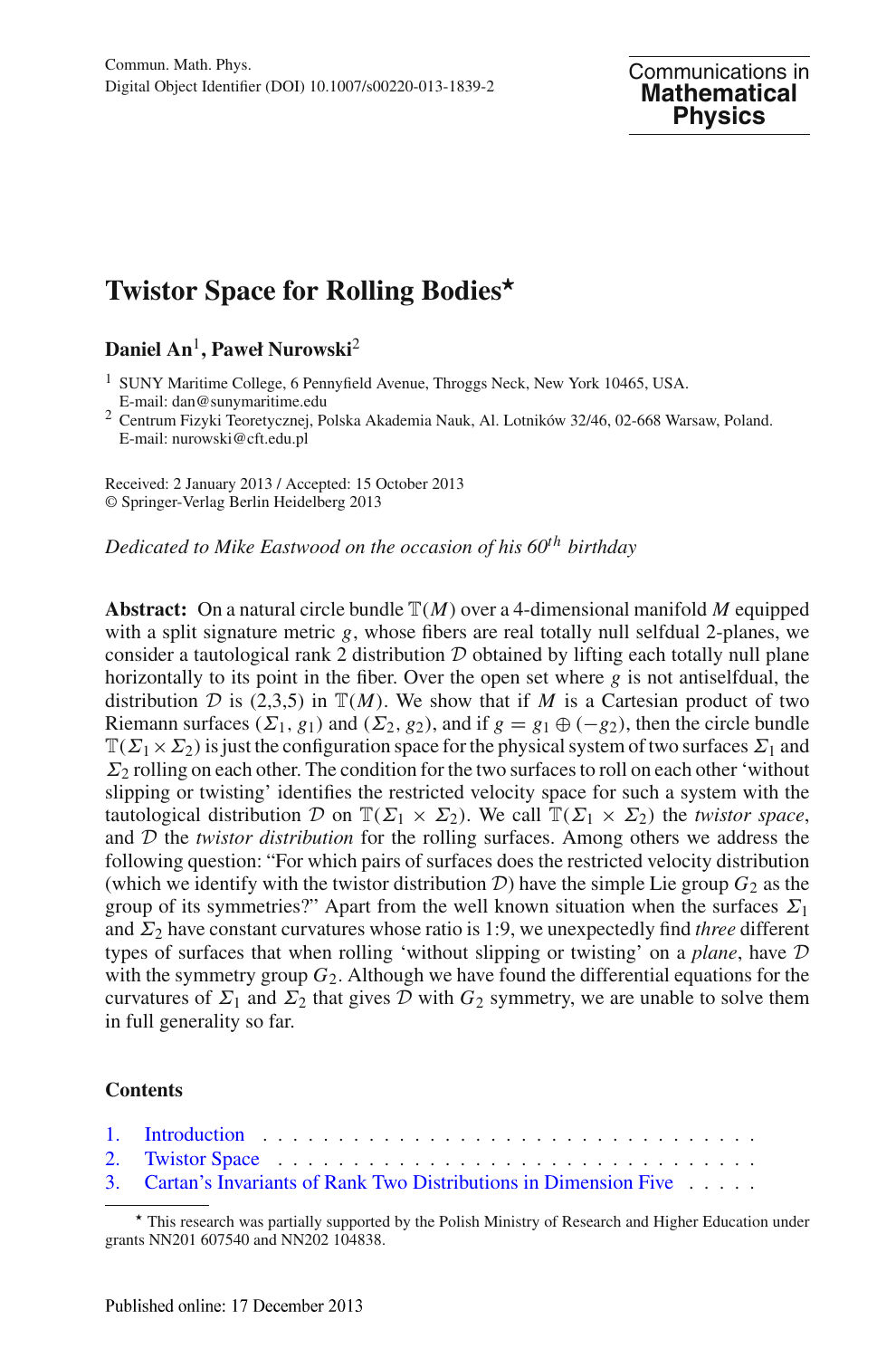# **Twistor Space for Rolling Bodies***-*

## **Daniel An**1**, Paweł Nurowski**<sup>2</sup>

<sup>1</sup> SUNY Maritime College, 6 Pennyfield Avenue, Throggs Neck, New York 10465, USA.<br>E-mail: dan@sunymaritime.edu

 $2$  Centrum Fizyki Teoretycznej, Polska Akademia Nauk, Al. Lotników 32/46, 02-668 Warsaw, Poland. E-mail: nurowski@cft.edu.pl

Received: 2 January 2013 / Accepted: 15 October 2013 © Springer-Verlag Berlin Heidelberg 2013

*Dedicated to Mike Eastwood on the occasion of his 60th birthday*

**Abstract:** On a natural circle bundle  $\mathbb{T}(M)$  over a 4-dimensional manifold M equipped with a split signature metric *g*, whose fibers are real totally null selfdual 2-planes, we consider a tautological rank 2 distribution  $D$  obtained by lifting each totally null plane horizontally to its point in the fiber. Over the open set where *g* is not antiselfdual, the distribution *D* is (2,3,5) in  $\mathbb{T}(M)$ . We show that if *M* is a Cartesian product of two Riemann surfaces ( $\Sigma_1$ ,  $g_1$ ) and ( $\Sigma_2$ ,  $g_2$ ), and if  $g = g_1 \oplus (-g_2)$ , then the circle bundle  $\mathbb{T}(\Sigma_1 \times \Sigma_2)$  is just the configuration space for the physical system of two surfaces  $\Sigma_1$  and  $\Sigma_2$  rolling on each other. The condition for the two surfaces to roll on each other 'without slipping or twisting' identifies the restricted velocity space for such a system with the tautological distribution *D* on  $\mathbb{T}(\Sigma_1 \times \Sigma_2)$ . We call  $\mathbb{T}(\Sigma_1 \times \Sigma_2)$  the *twistor space*, and *D* the *twistor distribution* for the rolling surfaces. Among others we address the following question: "For which pairs of surfaces does the restricted velocity distribution (which we identify with the twistor distribution  $D$ ) have the simple Lie group  $G_2$  as the group of its symmetries?" Apart from the well known situation when the surfaces  $\Sigma_1$ and  $\Sigma_2$  have constant curvatures whose ratio is 1:9, we unexpectedly find *three* different types of surfaces that when rolling 'without slipping or twisting' on a *plane*, have *D* with the symmetry group  $G_2$ . Although we have found the differential equations for the curvatures of  $\Sigma_1$  and  $\Sigma_2$  that gives  $D$  with  $G_2$  symmetry, we are unable to solve them in full generality so far.

### **Contents**

| 3. Cartan's Invariants of Rank Two Distributions in Dimension Five |
|--------------------------------------------------------------------|

This research was partially supported by the Polish Ministry of Research and Higher Education under grants NN201 607540 and NN202 104838.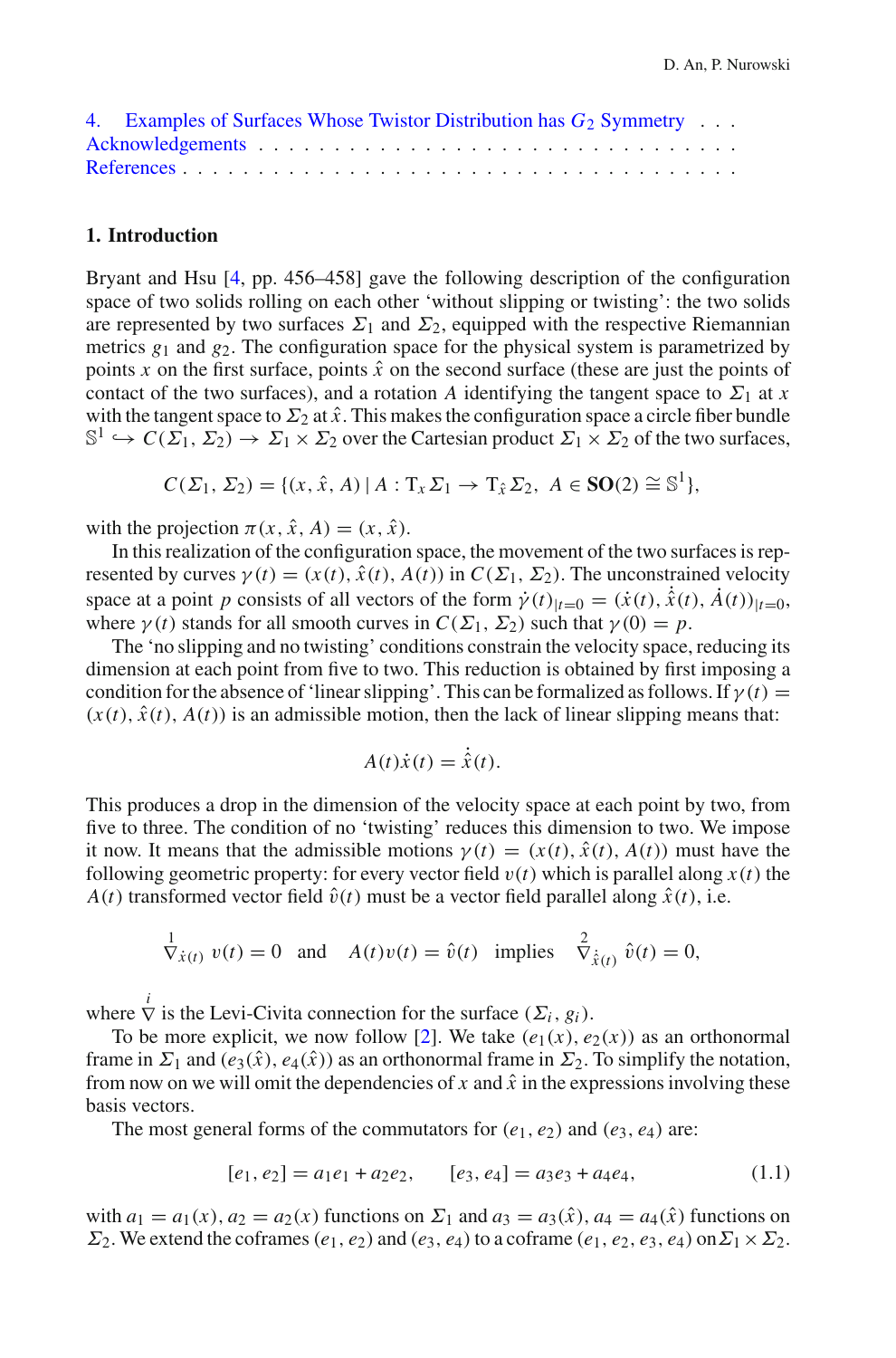| 4. Examples of Surfaces Whose Twistor Distribution has $G_2$ Symmetry |  |  |  |  |  |  |  |  |  |  |  |  |
|-----------------------------------------------------------------------|--|--|--|--|--|--|--|--|--|--|--|--|
|                                                                       |  |  |  |  |  |  |  |  |  |  |  |  |
|                                                                       |  |  |  |  |  |  |  |  |  |  |  |  |

#### <span id="page-1-0"></span>**1. Introduction**

Bryant and Hsu [\[4,](#page-21-1) pp. 456–458] gave the following description of the configuration space of two solids rolling on each other 'without slipping or twisting': the two solids are represented by two surfaces  $\Sigma_1$  and  $\Sigma_2$ , equipped with the respective Riemannian metrics  $g_1$  and  $g_2$ . The configuration space for the physical system is parametrized by points x on the first surface, points  $\hat{x}$  on the second surface (these are just the points of contact of the two surfaces), and a rotation *A* identifying the tangent space to  $\Sigma_1$  at *x* with the tangent space to  $\Sigma_2$  at  $\hat{x}$ . This makes the configuration space a circle fiber bundle  $\mathbb{S}^1 \hookrightarrow C(\Sigma_1, \Sigma_2) \to \Sigma_1 \times \Sigma_2$  over the Cartesian product  $\Sigma_1 \times \Sigma_2$  of the two surfaces,

 $C(\Sigma_1, \Sigma_2) = \{(x, \hat{x}, A) | A : T_x \Sigma_1 \to T_{\hat{x}} \Sigma_2, A \in SO(2) \cong \mathbb{S}^1\},\$ 

with the projection  $\pi(x, \hat{x}, A) = (x, \hat{x})$ .

In this realization of the configuration space, the movement of the two surfaces is represented by curves  $\gamma(t) = (x(t), \hat{x}(t), A(t))$  in  $C(\Sigma_1, \Sigma_2)$ . The unconstrained velocity space at a point *p* consists of all vectors of the form  $\dot{\gamma}(t)|_{t=0} = (\dot{x}(t), \dot{\dot{x}}(t), \dot{A}(t))|_{t=0}$ , where  $\gamma(t)$  stands for all smooth curves in  $C(\Sigma_1, \Sigma_2)$  such that  $\gamma(0) = p$ .

The 'no slipping and no twisting' conditions constrain the velocity space, reducing its dimension at each point from five to two. This reduction is obtained by first imposing a condition for the absence of 'linear slipping'. This can be formalized as follows. If  $\gamma(t)$  =  $(x(t), \hat{x}(t), A(t))$  is an admissible motion, then the lack of linear slipping means that:

$$
A(t)\dot{x}(t) = \dot{\hat{x}}(t).
$$

This produces a drop in the dimension of the velocity space at each point by two, from five to three. The condition of no 'twisting' reduces this dimension to two. We impose it now. It means that the admissible motions  $\gamma(t) = (x(t), \hat{x}(t), A(t))$  must have the following geometric property: for every vector field  $v(t)$  which is parallel along  $x(t)$  the  $A(t)$  transformed vector field  $\hat{v}(t)$  must be a vector field parallel along  $\hat{x}(t)$ , i.e.

$$
\overline{\nabla}_{\dot{x}(t)} v(t) = 0 \text{ and } A(t)v(t) = \hat{v}(t) \text{ implies } \overline{\nabla}_{\dot{x}(t)}^2 \hat{v}(t) = 0,
$$

where  $\overrightarrow{V}$  is the Levi-Civita connection for the surface  $(\Sigma_i, g_i)$ .

To be more explicit, we now follow [\[2](#page-21-2)]. We take  $(e_1(x), e_2(x))$  as an orthonormal frame in  $\Sigma_1$  and  $(e_3(\hat{x}), e_4(\hat{x}))$  as an orthonormal frame in  $\Sigma_2$ . To simplify the notation, from now on we will omit the dependencies of  $x$  and  $\hat{x}$  in the expressions involving these basis vectors.

The most general forms of the commutators for  $(e_1, e_2)$  and  $(e_3, e_4)$  are:

$$
[e_1, e_2] = a_1 e_1 + a_2 e_2, \qquad [e_3, e_4] = a_3 e_3 + a_4 e_4,\tag{1.1}
$$

<span id="page-1-1"></span>with  $a_1 = a_1(x)$ ,  $a_2 = a_2(x)$  functions on  $\Sigma_1$  and  $a_3 = a_3(\hat{x})$ ,  $a_4 = a_4(\hat{x})$  functions on  $\Sigma_2$ . We extend the coframes (*e*<sub>1</sub>, *e*<sub>2</sub>) and (*e*<sub>3</sub>, *e*<sub>4</sub>) to a coframe (*e*<sub>1</sub>, *e*<sub>2</sub>, *e*<sub>3</sub>, *e*<sub>4</sub>) on  $\Sigma_1 \times \Sigma_2$ .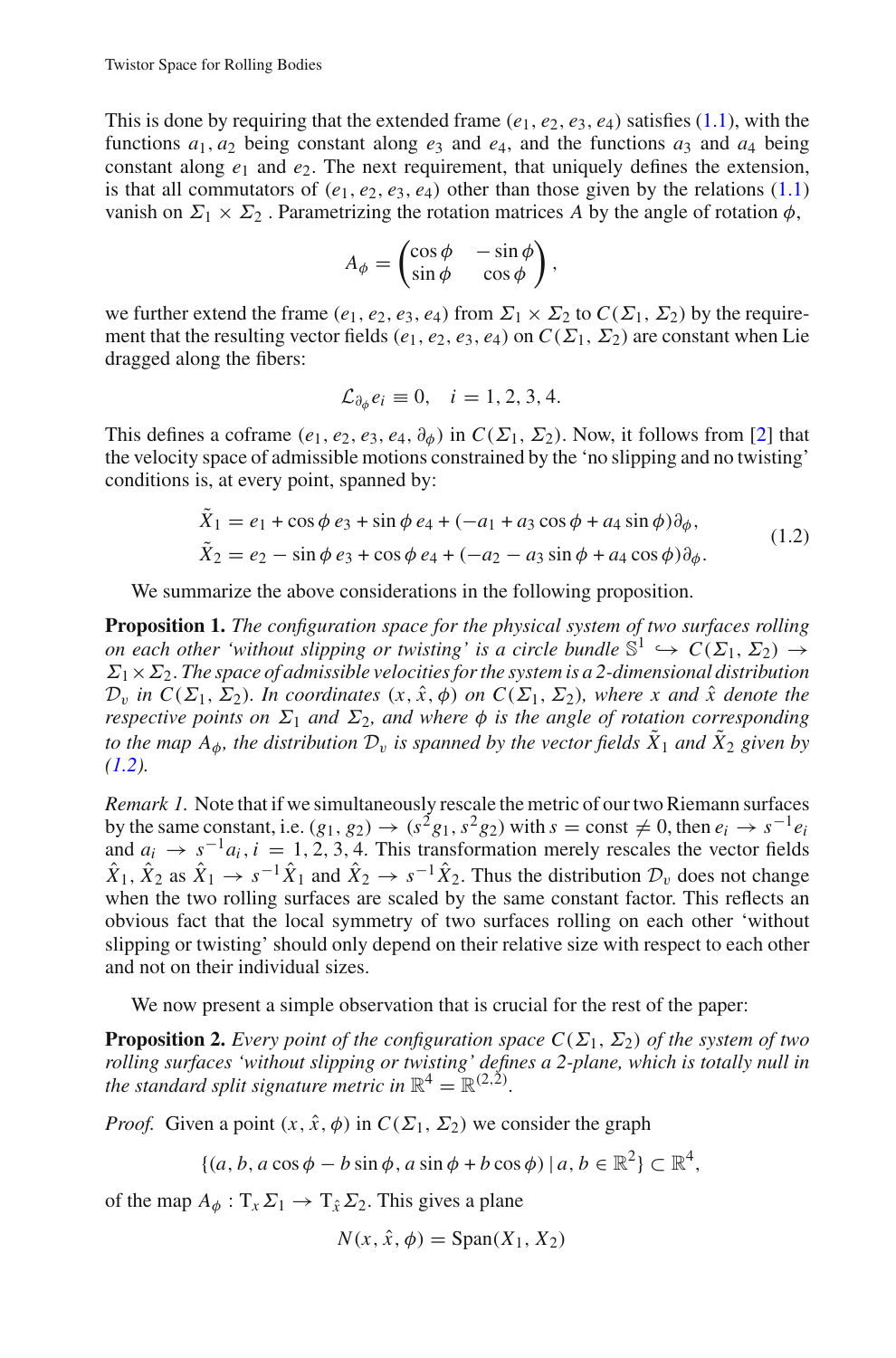This is done by requiring that the extended frame  $(e_1, e_2, e_3, e_4)$  satisfies [\(1.1\)](#page-1-1), with the functions  $a_1, a_2$  being constant along  $e_3$  and  $e_4$ , and the functions  $a_3$  and  $a_4$  being constant along  $e_1$  and  $e_2$ . The next requirement, that uniquely defines the extension, is that all commutators of  $(e_1, e_2, e_3, e_4)$  other than those given by the relations  $(1.1)$ vanish on  $\Sigma_1 \times \Sigma_2$ . Parametrizing the rotation matrices *A* by the angle of rotation  $\phi$ ,

$$
A_{\phi} = \begin{pmatrix} \cos \phi & -\sin \phi \\ \sin \phi & \cos \phi \end{pmatrix},
$$

we further extend the frame  $(e_1, e_2, e_3, e_4)$  from  $\Sigma_1 \times \Sigma_2$  to  $C(\Sigma_1, \Sigma_2)$  by the requirement that the resulting vector fields ( $e_1, e_2, e_3, e_4$ ) on  $C(\Sigma_1, \Sigma_2)$  are constant when Lie dragged along the fibers:

$$
\mathcal{L}_{\partial_{\phi}}e_i\equiv 0, \quad i=1,2,3,4.
$$

This defines a coframe  $(e_1, e_2, e_3, e_4, \partial_{\phi})$  in  $C(\Sigma_1, \Sigma_2)$ . Now, it follows from [\[2](#page-21-2)] that the velocity space of admissible motions constrained by the 'no slipping and no twisting' conditions is, at every point, spanned by:

$$
\tilde{X}_1 = e_1 + \cos\phi \, e_3 + \sin\phi \, e_4 + (-a_1 + a_3 \cos\phi + a_4 \sin\phi)\partial_\phi, \n\tilde{X}_2 = e_2 - \sin\phi \, e_3 + \cos\phi \, e_4 + (-a_2 - a_3 \sin\phi + a_4 \cos\phi)\partial_\phi.
$$
\n(1.2)

<span id="page-2-0"></span>We summarize the above considerations in the following proposition.

**Proposition 1.** *The configuration space for the physical system of two surfaces rolling on each other 'without slipping or twisting' is a circle bundle*  $\mathbb{S}^1 \hookrightarrow C(\Sigma_1, \Sigma_2) \rightarrow$  $\Sigma_1 \times \Sigma_2$ . The space of admissible velocities for the system is a 2-dimensional distribution  $\mathcal{D}_v$  *in*  $C(\Sigma_1, \Sigma_2)$ *. In coordinates*  $(x, \hat{x}, \phi)$  *on*  $C(\Sigma_1, \Sigma_2)$ *, where x and*  $\hat{x}$  *denote the respective points on*  $\Sigma_1$  *and*  $\Sigma_2$ *, and where*  $\phi$  *is the angle of rotation corresponding to the map A* $_{\phi}$ *, the distribution*  $\mathcal{D}_{\nu}$  *is spanned by the vector fields*  $\tilde{X}_1$  *and*  $\tilde{X}_2$  *given by [\(1.2\)](#page-2-0).*

*Remark 1.* Note that if we simultaneously rescale the metric of our two Riemann surfaces by the same constant, i.e.  $(g_1, g_2) \rightarrow (s^2g_1, s^2g_2)$  with  $s = \text{const} \neq 0$ , then  $e_i \rightarrow s^{-1}e_i$ and  $a_i \rightarrow s^{-1}a_i$ ,  $i = 1, 2, 3, 4$ . This transformation merely rescales the vector fields  $\hat{X}_1, \hat{X}_2$  as  $\hat{X}_1 \to s^{-1} \hat{X}_1$  and  $\hat{X}_2 \to s^{-1} \hat{X}_2$ . Thus the distribution  $\mathcal{D}_v$  does not change when the two rolling surfaces are scaled by the same constant factor. This reflects an obvious fact that the local symmetry of two surfaces rolling on each other 'without slipping or twisting' should only depend on their relative size with respect to each other and not on their individual sizes.

We now present a simple observation that is crucial for the rest of the paper:

**Proposition 2.** *Every point of the configuration space*  $C(\Sigma_1, \Sigma_2)$  *of the system of two rolling surfaces 'without slipping or twisting' defines a 2-plane, which is totally null in the standard split signature metric in*  $\mathbb{R}^4 = \mathbb{R}^{(2,2)}$ *.* 

*Proof.* Given a point  $(x, \hat{x}, \phi)$  in  $C(\Sigma_1, \Sigma_2)$  we consider the graph

$$
\{(a, b, a\cos\phi - b\sin\phi, a\sin\phi + b\cos\phi) \mid a, b \in \mathbb{R}^2\} \subset \mathbb{R}^4,
$$

of the map  $A_{\phi}: T_x \Sigma_1 \rightarrow T_{\hat{x}} \Sigma_2$ . This gives a plane

<span id="page-2-1"></span> $N(x, \hat{x}, \phi) = \text{Span}(X_1, X_2)$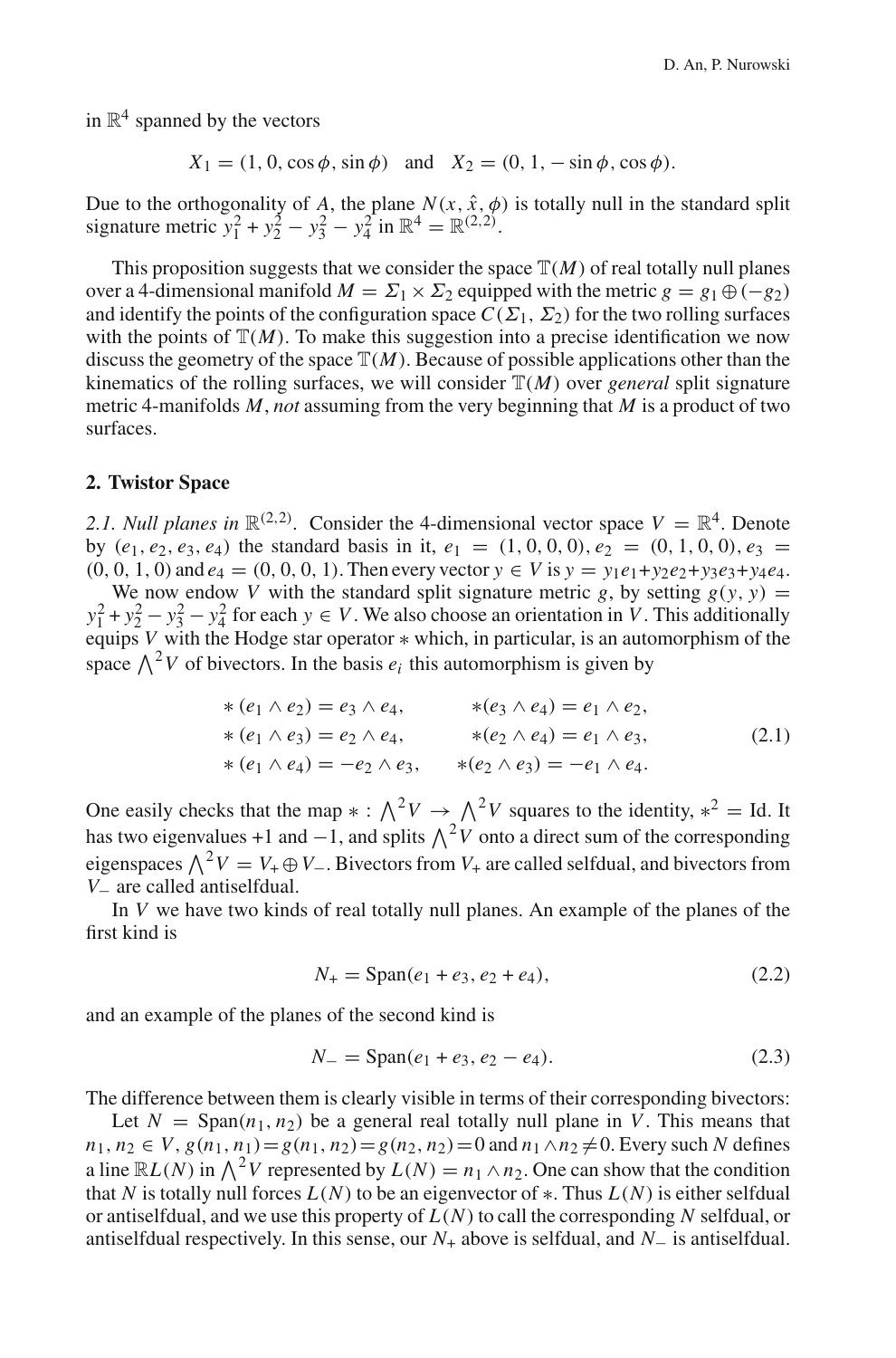in  $\mathbb{R}^4$  spanned by the vectors

 $X_1 = (1, 0, \cos \phi, \sin \phi)$  and  $X_2 = (0, 1, -\sin \phi, \cos \phi)$ .

Due to the orthogonality of A, the plane  $N(x, \hat{x}, \phi)$  is totally null in the standard split signature metric  $y_1^2 + y_2^2 - y_3^2 - y_4^2$  in  $\mathbb{R}^4 = \mathbb{R}^{(2,2)}$ .

This proposition suggests that we consider the space  $\mathbb{T}(M)$  of real totally null planes over a 4-dimensional manifold  $M = \Sigma_1 \times \Sigma_2$  equipped with the metric  $g = g_1 \oplus (-g_2)$ and identify the points of the configuration space  $C(\Sigma_1, \Sigma_2)$  for the two rolling surfaces with the points of  $\mathbb{T}(M)$ . To make this suggestion into a precise identification we now discuss the geometry of the space  $\mathbb{T}(M)$ . Because of possible applications other than the kinematics of the rolling surfaces, we will consider  $\mathbb{T}(M)$  over *general* split signature metric 4-manifolds *M*, *not* assuming from the very beginning that *M* is a product of two surfaces.

#### <span id="page-3-0"></span>**2. Twistor Space**

2.1. *Null planes in*  $\mathbb{R}^{(2,2)}$ . Consider the 4-dimensional vector space  $V = \mathbb{R}^4$ . Denote by  $(e_1, e_2, e_3, e_4)$  the standard basis in it,  $e_1 = (1, 0, 0, 0), e_2 = (0, 1, 0, 0), e_3 =$  $(0, 0, 1, 0)$  and  $e_4 = (0, 0, 0, 1)$ . Then every vector  $y \in V$  is  $y = y_1e_1 + y_2e_2 + y_3e_3 + y_4e_4$ . We now endow *V* with the standard split signature metric *g*, by setting  $g(y, y) =$  $y_1^2 + y_2^2 - y_3^2 - y_4^2$  for each  $y \in V$ . We also choose an orientation in *V*. This additionally equips *V* with the Hodge star operator ∗ which, in particular, is an automorphism of the space  $\Lambda^2 V$  of bivectors. In the basis  $e_i$  this automorphism is given by

$$
\begin{aligned}\n& * (e_1 \wedge e_2) = e_3 \wedge e_4, & * (e_3 \wedge e_4) = e_1 \wedge e_2, \\
& * (e_1 \wedge e_3) = e_2 \wedge e_4, & * (e_2 \wedge e_4) = e_1 \wedge e_3, \\
& * (e_1 \wedge e_4) = -e_2 \wedge e_3, & * (e_2 \wedge e_3) = -e_1 \wedge e_4.\n\end{aligned}
$$
\n(2.1)

<span id="page-3-3"></span>One easily checks that the map  $* : \bigwedge^2 V \to \bigwedge^2 V$  squares to the identity,  $*^2 = \text{Id}$ . It has two eigenvalues +1 and −1, and splits  $\wedge^2 V$  onto a direct sum of the corresponding eigenspaces  $\bigwedge^2 V = V_+ \oplus V_-$ . Bivectors from *V*<sub>+</sub> are called selfdual, and bivectors from *V*− are called antiselfdual.

In *V* we have two kinds of real totally null planes. An example of the planes of the first kind is

$$
N_{+} = \text{Span}(e_1 + e_3, e_2 + e_4), \tag{2.2}
$$

<span id="page-3-2"></span><span id="page-3-1"></span>and an example of the planes of the second kind is

$$
N_{-} = \text{Span}(e_1 + e_3, e_2 - e_4). \tag{2.3}
$$

The difference between them is clearly visible in terms of their corresponding bivectors:

Let  $N = \text{Span}(n_1, n_2)$  be a general real totally null plane in V. This means that *n*<sub>1</sub>, *n*<sub>2</sub> ∈ *V*, *g*(*n*<sub>1</sub>, *n*<sub>1</sub>) = *g*(*n*<sub>1</sub>, *n*<sub>2</sub>) = *g*(*n*<sub>2</sub>, *n*<sub>2</sub>) = 0 and *n*<sub>1</sub> ∧ *n*<sub>2</sub> ≠ 0. Every such *N* defines a line  $\mathbb{R}L(N)$  in  $\bigwedge^2 V$  represented by  $L(N) = n_1 \wedge n_2$ . One can show that the condition that *N* is totally null forces  $L(N)$  to be an eigenvector of  $*$ . Thus  $L(N)$  is either selfdual or antiselfdual, and we use this property of  $L(N)$  to call the corresponding N selfdual, or antiselfdual respectively. In this sense, our *N*<sup>+</sup> above is selfdual, and *N*<sup>−</sup> is antiselfdual.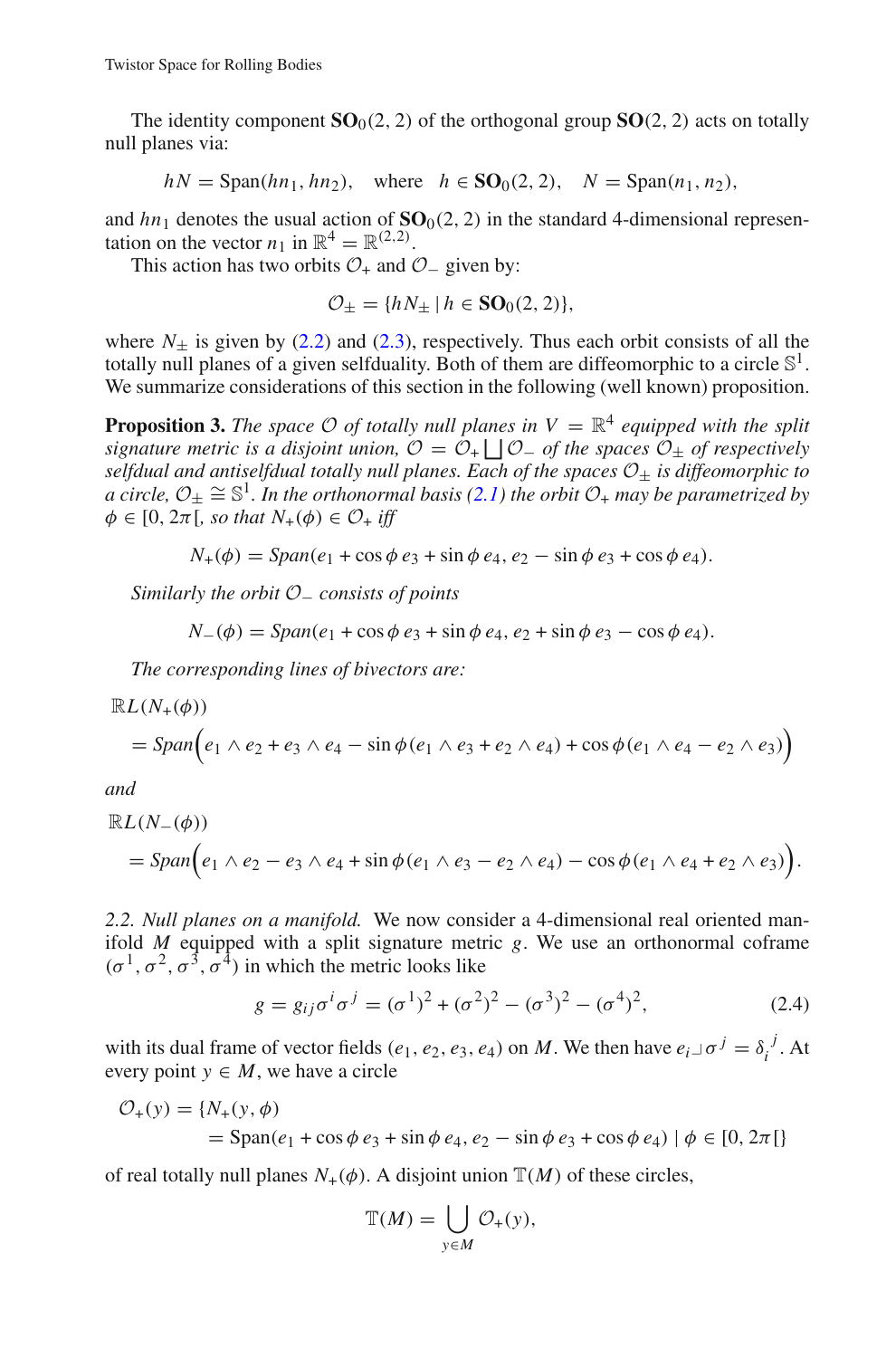The identity component  $SO_0(2, 2)$  of the orthogonal group  $SO(2, 2)$  acts on totally null planes via:

 $hN = \text{Span}(hn_1, hn_2)$ , where  $h \in \text{SO}_0(2, 2)$ ,  $N = \text{Span}(n_1, n_2)$ ,

and  $hn_1$  denotes the usual action of  $SO_0(2, 2)$  in the standard 4-dimensional representation on the vector  $n_1$  in  $\mathbb{R}^4 = \mathbb{R}^{(2,2)}$ .

This action has two orbits  $\mathcal{O}_+$  and  $\mathcal{O}_-$  given by:

$$
\mathcal{O}_{\pm} = \{ hN_{\pm} \mid h \in \mathbf{SO}_0(2,2) \},
$$

where  $N_{+}$  is given by [\(2.2\)](#page-3-1) and [\(2.3\)](#page-3-2), respectively. Thus each orbit consists of all the totally null planes of a given selfduality. Both of them are diffeomorphic to a circle  $\mathbb{S}^1$ . We summarize considerations of this section in the following (well known) proposition.

**Proposition 3.** *The space*  $\mathcal O$  *of totally null planes in*  $V = \mathbb R^4$  *equipped with the split signature metric is a disjoint union,*  $\mathcal{O} = \mathcal{O}_+ \bigsqcup \mathcal{O}_-$  *of the spaces*  $\mathcal{O}_\pm$  *of respectively selfdual and antiselfdual totally null planes. Each of the spaces O*<sup>±</sup> *is diffeomorphic to a* circle,  $O_+ \cong \mathbb{S}^1$ . In the orthonormal basis [\(2.1\)](#page-3-3) the orbit  $O_+$  may be parametrized by  $\phi \in [0, 2\pi[$ , so that  $N_+(\phi) \in \mathcal{O}_+$  iff

$$
N_{+}(\phi) = Span(e_1 + \cos\phi \, e_3 + \sin\phi \, e_4, e_2 - \sin\phi \, e_3 + \cos\phi \, e_4).
$$

*Similarly the orbit O*<sup>−</sup> *consists of points*

$$
N_{-}(\phi) = Span(e_1 + \cos\phi \, e_3 + \sin\phi \, e_4, e_2 + \sin\phi \, e_3 - \cos\phi \, e_4).
$$

*The corresponding lines of bivectors are:*

$$
\mathbb{R}L(N_{+}(\phi))
$$
  
=  $Span(e_1 \wedge e_2 + e_3 \wedge e_4 - sin \phi(e_1 \wedge e_3 + e_2 \wedge e_4) + cos \phi(e_1 \wedge e_4 - e_2 \wedge e_3))$ 

*and*

$$
\mathbb{R}L(N_{-}(\phi))
$$
  
=  $Span(e_1 \wedge e_2 - e_3 \wedge e_4 + sin \phi(e_1 \wedge e_3 - e_2 \wedge e_4) - cos \phi(e_1 \wedge e_4 + e_2 \wedge e_3)).$ 

*2.2. Null planes on a manifold.* We now consider a 4-dimensional real oriented manifold *M* equipped with a split signature metric *g*. We use an orthonormal coframe  $(\sigma^1, \sigma^2, \sigma^3, \sigma^4)$  in which the metric looks like

$$
g = g_{ij}\sigma^i \sigma^j = (\sigma^1)^2 + (\sigma^2)^2 - (\sigma^3)^2 - (\sigma^4)^2,
$$
 (2.4)

<span id="page-4-0"></span>with its dual frame of vector fields (*e*<sub>1</sub>, *e*<sub>2</sub>, *e*<sub>3</sub>, *e*<sub>4</sub>) on *M*. We then have  $e_i \text{ and } \sigma^j = \delta_i^j$ . At every point  $y \in M$ , we have a circle

$$
\mathcal{O}_{+}(y) = \{N_{+}(y, \phi) = \text{Span}(e_1 + \cos \phi \, e_3 + \sin \phi \, e_4, e_2 - \sin \phi \, e_3 + \cos \phi \, e_4) \mid \phi \in [0, 2\pi] \}
$$

of real totally null planes  $N_+(\phi)$ . A disjoint union  $\mathbb{T}(M)$  of these circles,

$$
\mathbb{T}(M) = \bigcup_{y \in M} \mathcal{O}_+(y),
$$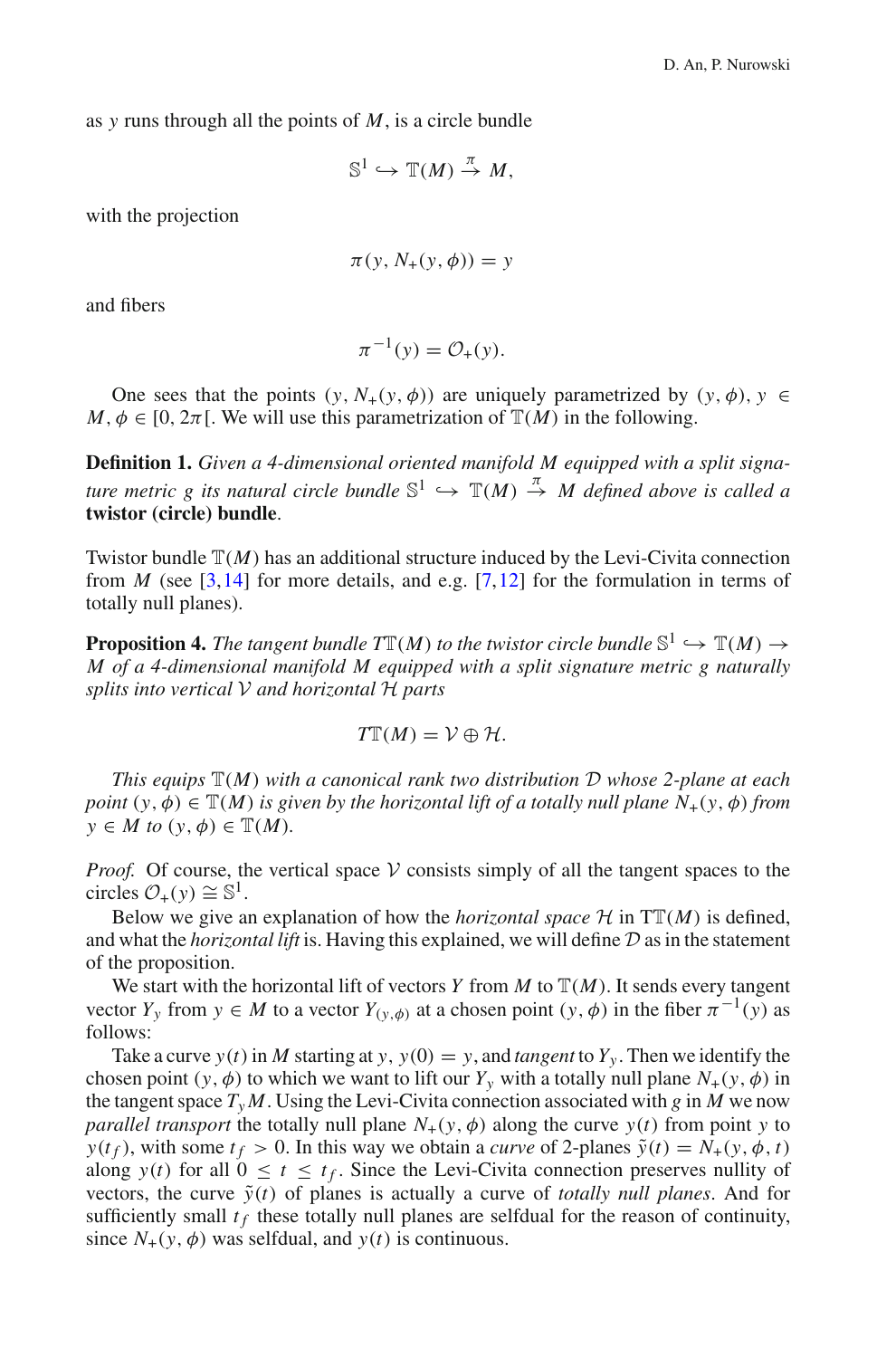as *y* runs through all the points of *M*, is a circle bundle

$$
\mathbb{S}^1 \hookrightarrow \mathbb{T}(M) \stackrel{\pi}{\rightarrow} M,
$$

with the projection

$$
\pi(y, N_{+}(y, \phi)) = y
$$

and fibers

$$
\pi^{-1}(y) = \mathcal{O}_+(y).
$$

One sees that the points  $(y, N_+(y, \phi))$  are uniquely parametrized by  $(y, \phi), y \in$  $M, \phi \in [0, 2\pi]$ . We will use this parametrization of  $\mathbb{T}(M)$  in the following.

**Definition 1.** *Given a 4-dimensional oriented manifold M equipped with a split signature metric g its natural circle bundle*  $\mathbb{S}^1 \hookrightarrow \mathbb{T}(M) \stackrel{\pi}{\rightarrow} M$  defined above is called a **twistor (circle) bundle**.

Twistor bundle  $\mathbb{T}(M)$  has an additional structure induced by the Levi-Civita connection from *M* (see [\[3](#page-21-3)[,14](#page-21-4)] for more details, and e.g. [\[7](#page-21-5),[12\]](#page-21-6) for the formulation in terms of totally null planes).

<span id="page-5-0"></span>**Proposition 4.** The tangent bundle  $T\mathbb{T}(M)$  to the twistor circle bundle  $\mathbb{S}^1 \hookrightarrow \mathbb{T}(M) \rightarrow$ *M of a 4-dimensional manifold M equipped with a split signature metric g naturally splits into vertical V and horizontal H parts*

$$
T\mathbb{T}(M) = \mathcal{V} \oplus \mathcal{H}.
$$

*This equips* <sup>T</sup>(*M*) *with a canonical rank two distribution <sup>D</sup> whose 2-plane at each point*  $(y, \phi) \in \mathbb{T}(M)$  *is given by the horizontal lift of a totally null plane*  $N_+(y, \phi)$  *from*  $y \in M$  *to*  $(y, \phi) \in \mathbb{T}(M)$ .

*Proof.* Of course, the vertical space  $V$  consists simply of all the tangent spaces to the circles  $\mathcal{O}_+(y) \cong \mathbb{S}^1$ .

Below we give an explanation of how the *horizontal space*  $H$  in  $TT(M)$  is defined, and what the *horizontal lift* is. Having this explained, we will define *D* as in the statement of the proposition.

We start with the horizontal lift of vectors *Y* from *M* to  $\mathbb{T}(M)$ . It sends every tangent vector *Y<sub>y</sub>* from  $y \in M$  to a vector  $Y_{(y, \phi)}$  at a chosen point  $(y, \phi)$  in the fiber  $\pi^{-1}(y)$  as follows:

Take a curve  $y(t)$  in *M* starting at  $y$ ,  $y(0) = y$ , and *tangent* to  $Y_y$ . Then we identify the chosen point  $(y, \phi)$  to which we want to lift our  $Y_y$  with a totally null plane  $N_+(y, \phi)$  in the tangent space  $T_y M$ . Using the Levi-Civita connection associated with *g* in *M* we now *parallel transport* the totally null plane  $N_+(y, \phi)$  along the curve  $y(t)$  from point y to *y*(*t*<sub>f</sub>), with some  $t_f > 0$ . In this way we obtain a *curve* of 2-planes  $\tilde{y}(t) = N_+(y, \phi, t)$ along  $y(t)$  for all  $0 \le t \le t_f$ . Since the Levi-Civita connection preserves nullity of vectors, the curve  $\tilde{v}(t)$  of planes is actually a curve of *totally null planes*. And for sufficiently small  $t_f$  these totally null planes are selfdual for the reason of continuity, since  $N_+(y, \phi)$  was selfdual, and  $y(t)$  is continuous.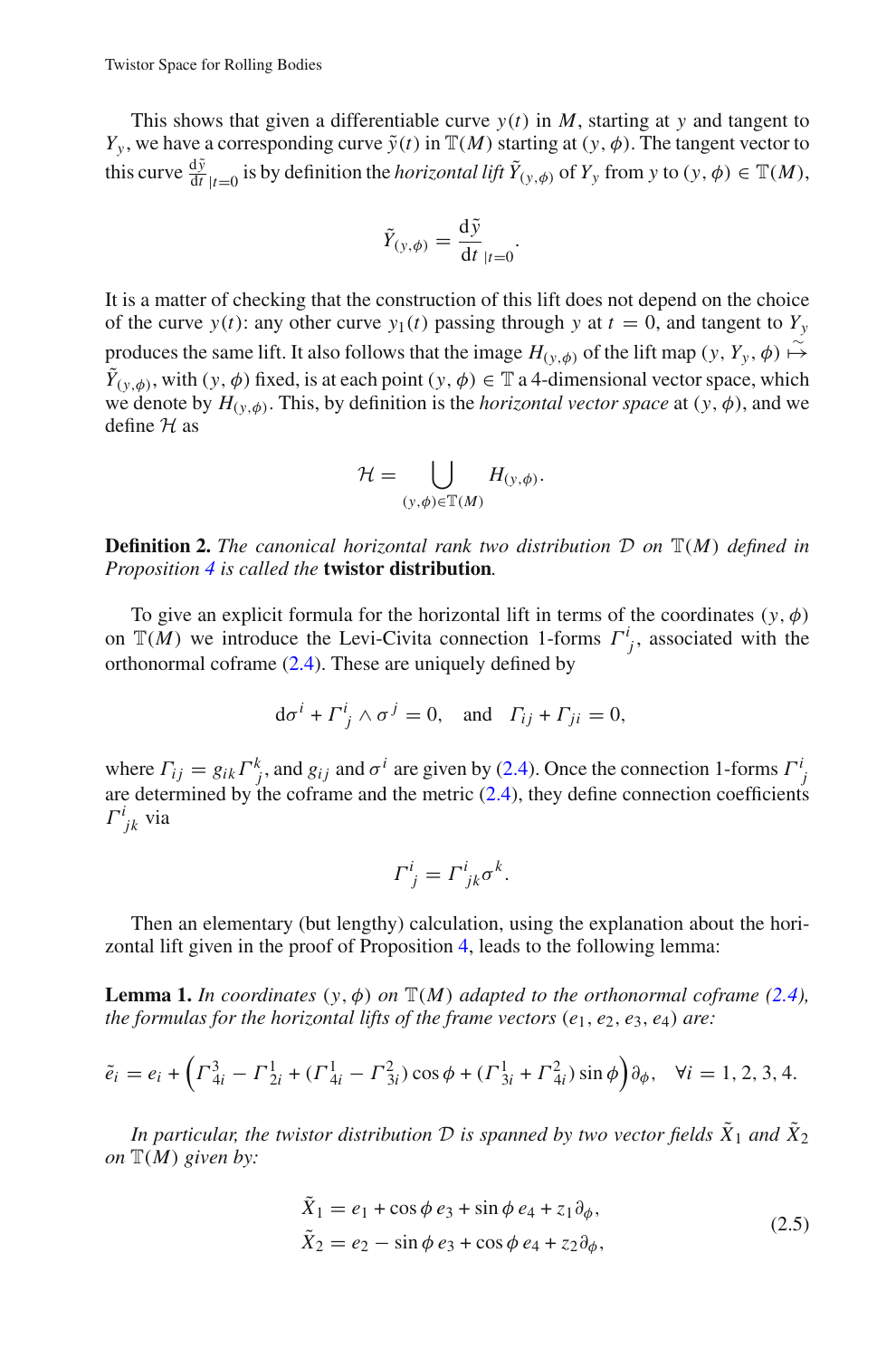This shows that given a differentiable curve  $y(t)$  in *M*, starting at *y* and tangent to *Y<sub>y</sub>*, we have a corresponding curve  $\tilde{y}(t)$  in  $\mathbb{T}(M)$  starting at  $(y, \phi)$ . The tangent vector to this curve  $\frac{d\tilde{y}}{dt}|_{t=0}$  is by definition the *horizontal lift*  $\tilde{Y}_{(y,\phi)}$  of  $Y_y$  from  $y$  to  $(y,\phi) \in \mathbb{T}(M)$ ,

$$
\tilde{Y}_{(y,\phi)} = \frac{\mathrm{d}\tilde{y}}{\mathrm{d}t}_{|t=0}.
$$

It is a matter of checking that the construction of this lift does not depend on the choice of the curve  $y(t)$ : any other curve  $y_1(t)$  passing through y at  $t = 0$ , and tangent to  $Y_y$ produces the same lift. It also follows that the image  $H_{(y, \phi)}$  of the lift map  $(y, Y_y, \phi) \mapsto$  $\tilde{Y}_{(y,\phi)}$ , with  $(y, \phi)$  fixed, is at each point  $(y, \phi) \in \mathbb{T}$  a 4-dimensional vector space, which we denote by  $H_{(\gamma,\phi)}$ . This, by definition is the *horizontal vector space* at  $(\gamma,\phi)$ , and we define *H* as

$$
\mathcal{H} = \bigcup_{(y,\phi)\in \mathbb{T}(M)} H_{(y,\phi)}.
$$

<span id="page-6-1"></span>**Definition 2.** *The canonical horizontal rank two distribution <sup>D</sup> on* <sup>T</sup>(*M*) *defined in Proposition [4](#page-5-0) is called the* **twistor distribution***.*

To give an explicit formula for the horizontal lift in terms of the coordinates  $(y, \phi)$ on  $\mathbb{T}(M)$  we introduce the Levi-Civita connection 1-forms  $\Gamma^i_j$ , associated with the orthonormal coframe [\(2.4\)](#page-4-0). These are uniquely defined by

$$
d\sigma^{i} + \Gamma^{i}_{j} \wedge \sigma^{j} = 0
$$
, and  $\Gamma_{ij} + \Gamma_{ji} = 0$ ,

where  $\Gamma_{ij} = g_{ik} \Gamma^k_{j}$ , and  $g_{ij}$  and  $\sigma^i$  are given by [\(2.4\)](#page-4-0). Once the connection 1-forms  $\Gamma^i_{j}$ are determined by the coframe and the metric  $(2.4)$ , they define connection coefficients  $\Gamma^i_{jk}$  via

$$
\Gamma^i_{\ j} = \Gamma^i_{\ jk} \sigma^k.
$$

<span id="page-6-2"></span>Then an elementary (but lengthy) calculation, using the explanation about the horizontal lift given in the proof of Proposition [4,](#page-5-0) leads to the following lemma:

**Lemma 1.** *In coordinates*  $(y, \phi)$  *on*  $\mathbb{T}(M)$  *adapted to the orthonormal coframe* [\(2.4\)](#page-4-0), *the formulas for the horizontal lifts of the frame vectors* (*e*1, *e*2, *e*3, *e*4) *are:*

$$
\tilde{e}_i = e_i + \left(\Gamma_{4i}^3 - \Gamma_{2i}^1 + (\Gamma_{4i}^1 - \Gamma_{3i}^2)\cos\phi + (\Gamma_{3i}^1 + \Gamma_{4i}^2)\sin\phi\right)\partial_\phi, \quad \forall i = 1, 2, 3, 4.
$$

<span id="page-6-0"></span>*In particular, the twistor distribution*  $D$  *is spanned by two vector fields*  $\tilde{X}_1$  *and*  $\tilde{X}_2$ *on* T(*M*) *given by:*

$$
\tilde{X}_1 = e_1 + \cos \phi \, e_3 + \sin \phi \, e_4 + z_1 \partial_\phi,
$$
  
\n
$$
\tilde{X}_2 = e_2 - \sin \phi \, e_3 + \cos \phi \, e_4 + z_2 \partial_\phi,
$$
\n(2.5)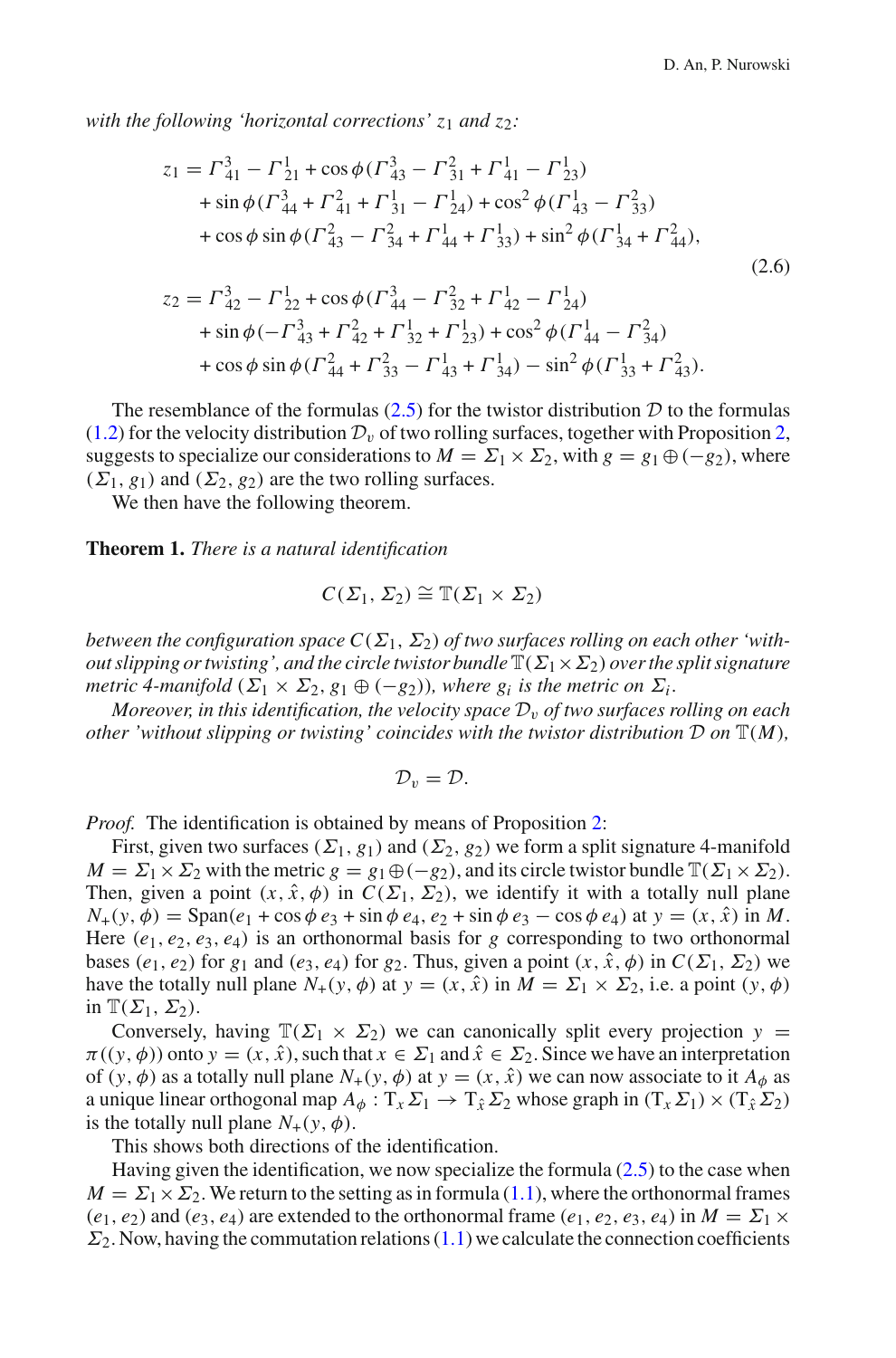<span id="page-7-0"></span>*with the following 'horizontal corrections' z*<sup>1</sup> *and z*2*:*

$$
z_{1} = \Gamma_{41}^{3} - \Gamma_{21}^{1} + \cos\phi(\Gamma_{43}^{3} - \Gamma_{31}^{2} + \Gamma_{41}^{1} - \Gamma_{23}^{1})
$$
  
+  $\sin\phi(\Gamma_{44}^{3} + \Gamma_{41}^{2} + \Gamma_{31}^{1} - \Gamma_{24}^{1}) + \cos^{2}\phi(\Gamma_{43}^{1} - \Gamma_{33}^{2})$   
+  $\cos\phi\sin\phi(\Gamma_{43}^{2} - \Gamma_{34}^{2} + \Gamma_{44}^{1} + \Gamma_{33}^{1}) + \sin^{2}\phi(\Gamma_{34}^{1} + \Gamma_{44}^{2}),$   

$$
z_{2} = \Gamma_{42}^{3} - \Gamma_{22}^{1} + \cos\phi(\Gamma_{44}^{3} - \Gamma_{32}^{2} + \Gamma_{42}^{1} - \Gamma_{24}^{1})
$$
  
+  $\sin\phi(-\Gamma_{43}^{3} + \Gamma_{42}^{2} + \Gamma_{32}^{1} + \Gamma_{23}^{1}) + \cos^{2}\phi(\Gamma_{44}^{1} - \Gamma_{34}^{2})$   
+  $\cos\phi\sin\phi(\Gamma_{44}^{2} + \Gamma_{33}^{2} - \Gamma_{43}^{1} + \Gamma_{34}^{1}) - \sin^{2}\phi(\Gamma_{33}^{1} + \Gamma_{43}^{2}).$   
(2.6)

The resemblance of the formulas  $(2.5)$  for the twistor distribution  $D$  to the formulas [\(1.2\)](#page-2-0) for the velocity distribution  $\mathcal{D}_v$  of two rolling surfaces, together with Proposition [2,](#page-2-1) suggests to specialize our considerations to  $M = \Sigma_1 \times \Sigma_2$ , with  $g = g_1 \oplus (-g_2)$ , where  $(\Sigma_1, g_1)$  and  $(\Sigma_2, g_2)$  are the two rolling surfaces.

We then have the following theorem.

<span id="page-7-1"></span>**Theorem 1.** *There is a natural identification*

$$
C(\Sigma_1, \Sigma_2) \cong \mathbb{T}(\Sigma_1 \times \Sigma_2)
$$

*between the configuration space*  $C(\Sigma_1, \Sigma_2)$  *of two surfaces rolling on each other 'without slipping or twisting', and the circle twistor bundle*  $\mathbb{T}(\Sigma_1 \times \Sigma_2)$  *over the split signature metric 4-manifold*  $(\Sigma_1 \times \Sigma_2, g_1 \oplus (-g_2))$ *, where*  $g_i$  *is the metric on*  $\Sigma_i$ *.* 

*Moreover, in this identification, the velocity space*  $\mathcal{D}_v$  *of two surfaces rolling on each other 'without slipping or twisting' coincides with the twistor distribution*  $D$  *on*  $\mathbb{T}(M)$ *,* 

$$
\mathcal{D}_v=\mathcal{D}.
$$

*Proof.* The identification is obtained by means of Proposition [2:](#page-2-1)

First, given two surfaces  $(\Sigma_1, g_1)$  and  $(\Sigma_2, g_2)$  we form a split signature 4-manifold  $M = \Sigma_1 \times \Sigma_2$  with the metric  $g = g_1 \oplus (-g_2)$ , and its circle twistor bundle  $\mathbb{T}(\Sigma_1 \times \Sigma_2)$ . Then, given a point  $(x, \hat{x}, \phi)$  in  $C(\Sigma_1, \Sigma_2)$ , we identify it with a totally null plane  $N_{+}(y, \phi) = \text{Span}(e_1 + \cos \phi \, e_3 + \sin \phi \, e_4, e_2 + \sin \phi \, e_3 - \cos \phi \, e_4)$  at  $y = (x, \hat{x})$  in M. Here  $(e_1, e_2, e_3, e_4)$  is an orthonormal basis for *g* corresponding to two orthonormal bases ( $e_1, e_2$ ) for  $g_1$  and ( $e_3, e_4$ ) for  $g_2$ . Thus, given a point  $(x, \hat{x}, \phi)$  in  $C(\Sigma_1, \Sigma_2)$  we have the totally null plane  $N_+(y, \phi)$  at  $y = (x, \hat{x})$  in  $M = \Sigma_1 \times \Sigma_2$ , i.e. a point  $(y, \phi)$ in  $\mathbb{T}(\Sigma_1, \Sigma_2)$ .

Conversely, having  $\mathbb{T}(\Sigma_1 \times \Sigma_2)$  we can canonically split every projection  $y =$  $\pi((y, \phi))$  onto  $y = (x, \hat{x})$ , such that  $x \in \Sigma_1$  and  $\hat{x} \in \Sigma_2$ . Since we have an interpretation of  $(y, \phi)$  as a totally null plane  $N_+(y, \phi)$  at  $y = (x, \hat{x})$  we can now associate to it  $A_{\phi}$  as a unique linear orthogonal map  $A_{\phi}: T_x \Sigma_1 \to T_{\hat{x}} \Sigma_2$  whose graph in  $(T_x \Sigma_1) \times (T_{\hat{x}} \Sigma_2)$ is the totally null plane  $N_+(y, \phi)$ .

This shows both directions of the identification.

Having given the identification, we now specialize the formula  $(2.5)$  to the case when  $M = \Sigma_1 \times \Sigma_2$ . We return to the setting as in formula [\(1.1\)](#page-1-1), where the orthonormal frames  $(e_1, e_2)$  and  $(e_3, e_4)$  are extended to the orthonormal frame  $(e_1, e_2, e_3, e_4)$  in  $M = \Sigma_1 \times$  $\Sigma_2$ . Now, having the commutation relations [\(1.1\)](#page-1-1) we calculate the connection coefficients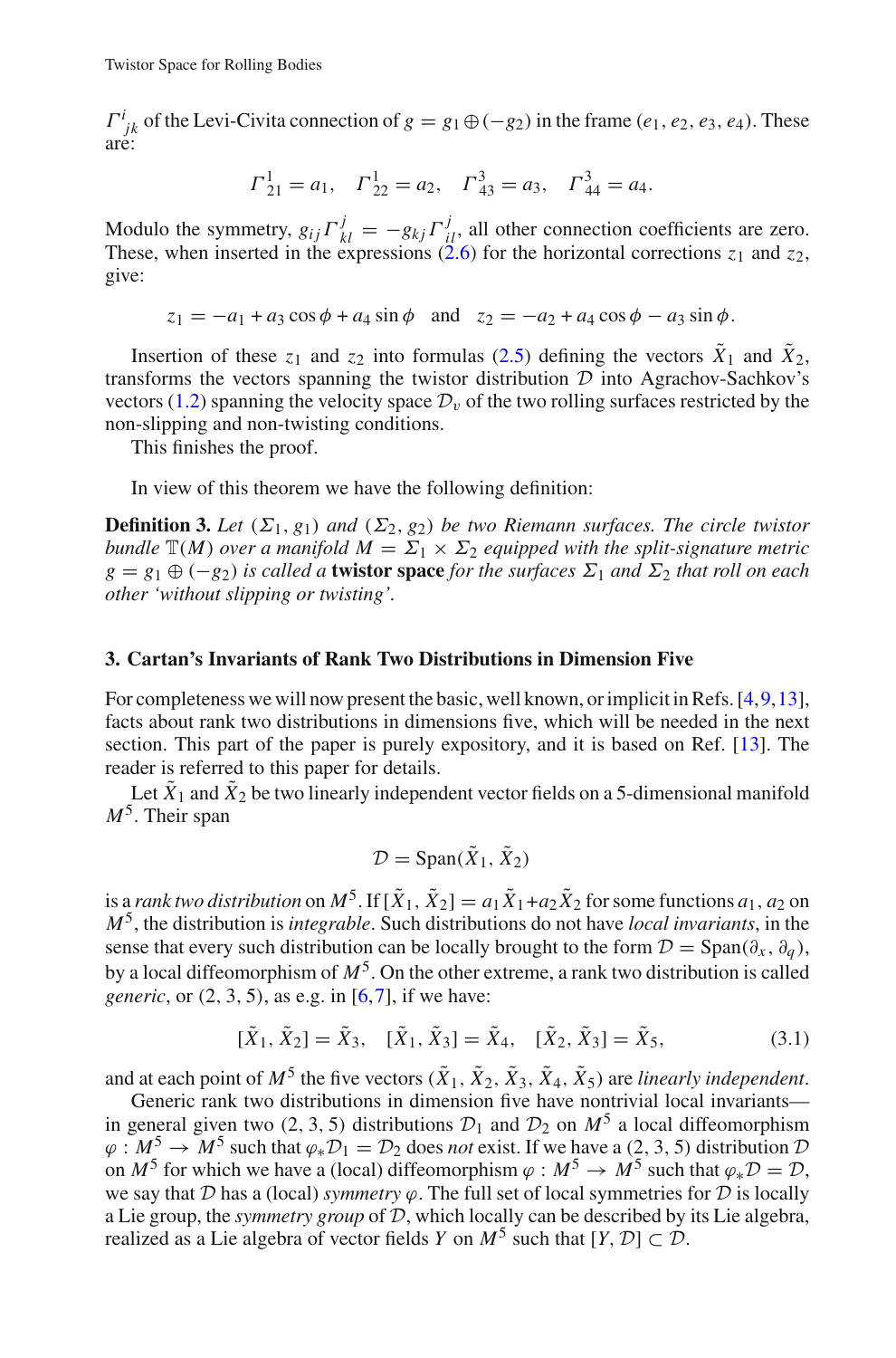$\Gamma^i_{jk}$  of the Levi-Civita connection of  $g = g_1 \oplus (-g_2)$  in the frame  $(e_1, e_2, e_3, e_4)$ . These are:

$$
\Gamma_{21}^1 = a_1
$$
,  $\Gamma_{22}^1 = a_2$ ,  $\Gamma_{43}^3 = a_3$ ,  $\Gamma_{44}^3 = a_4$ .

Modulo the symmetry,  $g_{ij}\Gamma^j_{kl} = -g_{kj}\Gamma^j_{il}$ , all other connection coefficients are zero. These, when inserted in the expressions  $(2.6)$  for the horizontal corrections  $z_1$  and  $z_2$ , give:

 $z_1 = -a_1 + a_3 \cos \phi + a_4 \sin \phi$  and  $z_2 = -a_2 + a_4 \cos \phi - a_3 \sin \phi$ .

Insertion of these  $z_1$  and  $z_2$  into formulas [\(2.5\)](#page-6-0) defining the vectors  $\tilde{X}_1$  and  $\tilde{X}_2$ , transforms the vectors spanning the twistor distribution *D* into Agrachov-Sachkov's vectors [\(1.2\)](#page-2-0) spanning the velocity space  $\mathcal{D}_v$  of the two rolling surfaces restricted by the non-slipping and non-twisting conditions.

This finishes the proof.

In view of this theorem we have the following definition:

**Definition 3.** *Let*  $(\Sigma_1, g_1)$  *and*  $(\Sigma_2, g_2)$  *be two Riemann surfaces. The circle twistor bundle*  $\mathbb{T}(M)$  *over a manifold*  $M = \Sigma_1 \times \Sigma_2$  *equipped with the split-signature metric*  $g = g_1 \oplus (-g_2)$  *is called a* **twistor space** *for the surfaces*  $\Sigma_1$  *and*  $\Sigma_2$  *that roll on each other 'without slipping or twisting'.*

#### <span id="page-8-0"></span>**3. Cartan's Invariants of Rank Two Distributions in Dimension Five**

For completeness we will now present the basic, well known, or implicit in Refs. [\[4](#page-21-1)[,9](#page-21-7),[13](#page-21-8)], facts about rank two distributions in dimensions five, which will be needed in the next section. This part of the paper is purely expository, and it is based on Ref. [\[13\]](#page-21-8). The reader is referred to this paper for details.

Let  $\tilde{X}_1$  and  $\tilde{X}_2$  be two linearly independent vector fields on a 5-dimensional manifold *M*5. Their span

$$
\mathcal{D} = \text{Span}(\tilde{X}_1, \tilde{X}_2)
$$

is a *rank two distribution* on  $M^5$ . If  $[\tilde{X}_1, \tilde{X}_2] = a_1 \tilde{X}_1 + a_2 \tilde{X}_2$  for some functions  $a_1, a_2$  on *M*5, the distribution is *integrable*. Such distributions do not have *local invariants*, in the sense that every such distribution can be locally brought to the form  $\mathcal{D} = \text{Span}(\partial_x, \partial_a)$ , by a local diffeomorphism of *M*5. On the other extreme, a rank two distribution is called *generic*, or  $(2, 3, 5)$ , as e.g. in [\[6,](#page-21-9)[7\]](#page-21-5), if we have:

$$
[\tilde{X}_1, \tilde{X}_2] = \tilde{X}_3, \quad [\tilde{X}_1, \tilde{X}_3] = \tilde{X}_4, \quad [\tilde{X}_2, \tilde{X}_3] = \tilde{X}_5,
$$
\n(3.1)

<span id="page-8-1"></span>and at each point of  $M^5$  the five vectors  $(\tilde{X}_1, \tilde{X}_2, \tilde{X}_3, \tilde{X}_4, \tilde{X}_5)$  are *linearly independent*.

Generic rank two distributions in dimension five have nontrivial local invariants in general given two (2, 3, 5) distributions  $\mathcal{D}_1$  and  $\mathcal{D}_2$  on  $M^5$  a local diffeomorphism  $\varphi : M^5 \to M^5$  such that  $\varphi_* \mathcal{D}_1 = \mathcal{D}_2$  does *not* exist. If we have a (2, 3, 5) distribution  $\mathcal D$ on  $M^5$  for which we have a (local) diffeomorphism  $\varphi : M^5 \to M^5$  such that  $\varphi_* \mathcal{D} = \mathcal{D}$ , we say that  $D$  has a (local) *symmetry*  $\varphi$ . The full set of local symmetries for  $D$  is locally a Lie group, the *symmetry group* of *D*, which locally can be described by its Lie algebra, realized as a Lie algebra of vector fields *Y* on  $M^5$  such that  $[Y, D] \subset D$ .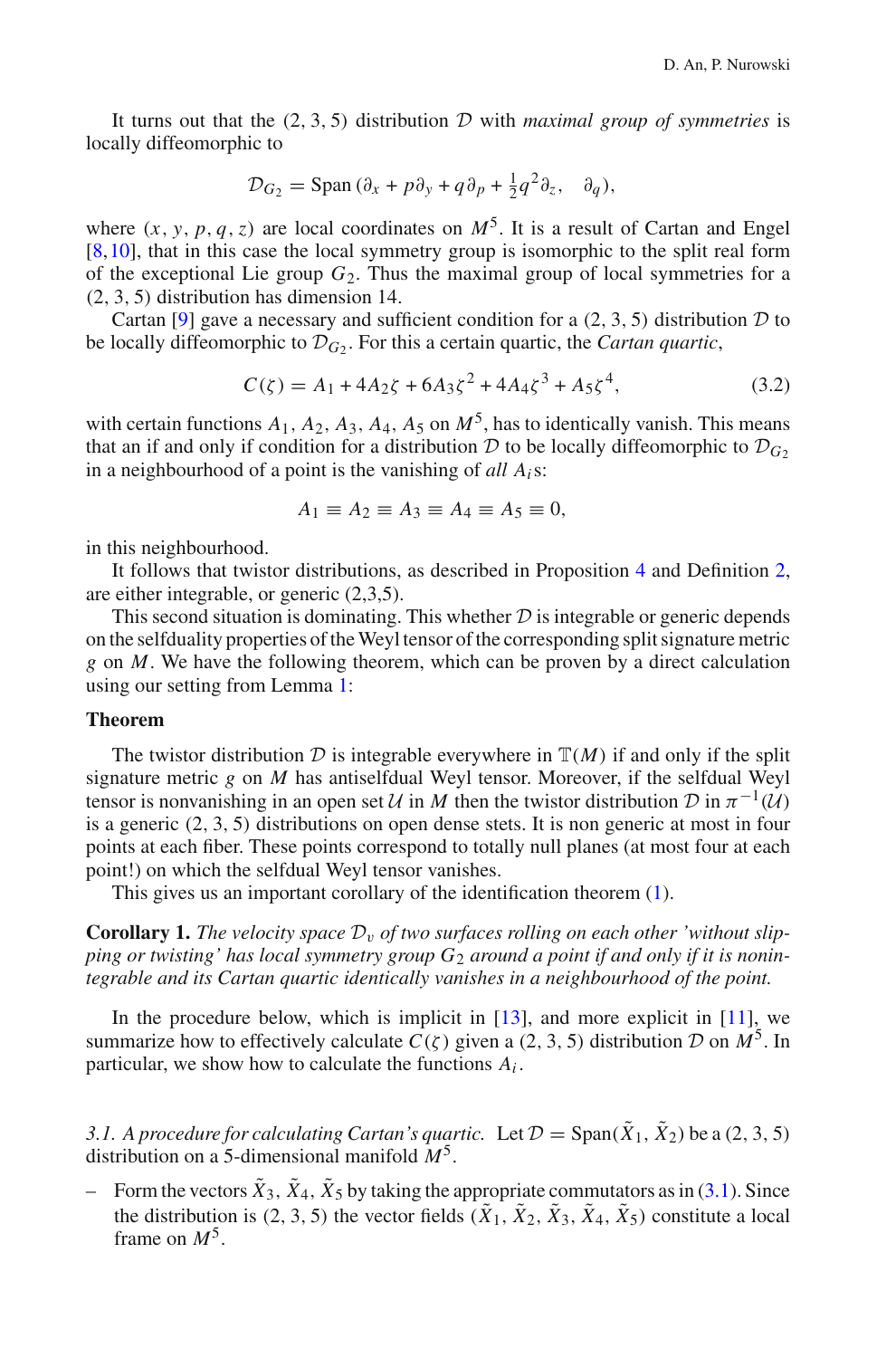It turns out that the (2, 3, 5) distribution *D* with *maximal group of symmetries* is locally diffeomorphic to

$$
\mathcal{D}_{G_2} = \text{Span}\,(\partial_x + p\partial_y + q\partial_p + \frac{1}{2}q^2\partial_z, \quad \partial_q),
$$

where  $(x, y, p, q, z)$  are local coordinates on  $M^5$ . It is a result of Cartan and Engel [\[8](#page-21-10),[10\]](#page-21-11), that in this case the local symmetry group is isomorphic to the split real form of the exceptional Lie group  $G_2$ . Thus the maximal group of local symmetries for a (2, 3, 5) distribution has dimension 14.

Cartan [\[9](#page-21-7)] gave a necessary and sufficient condition for a (2, 3, 5) distribution *D* to be locally diffeomorphic to  $\mathcal{D}_G$ . For this a certain quartic, the *Cartan quartic*,

$$
C(\zeta) = A_1 + 4A_2\zeta + 6A_3\zeta^2 + 4A_4\zeta^3 + A_5\zeta^4,\tag{3.2}
$$

<span id="page-9-0"></span>with certain functions  $A_1$ ,  $A_2$ ,  $A_3$ ,  $A_4$ ,  $A_5$  on  $M^5$ , has to identically vanish. This means that an if and only if condition for a distribution  $D$  to be locally diffeomorphic to  $D_{G_2}$ in a neighbourhood of a point is the vanishing of *all Ai*s:

$$
A_1 \equiv A_2 \equiv A_3 \equiv A_4 \equiv A_5 \equiv 0,
$$

in this neighbourhood.

It follows that twistor distributions, as described in Proposition [4](#page-5-0) and Definition [2,](#page-6-1) are either integrable, or generic (2,3,5).

This second situation is dominating. This whether *D* is integrable or generic depends on the selfduality properties of the Weyl tensor of the corresponding split signature metric *g* on *M*. We have the following theorem, which can be proven by a direct calculation using our setting from Lemma [1:](#page-6-2)

#### **Theorem**

The twistor distribution  $D$  is integrable everywhere in  $T(M)$  if and only if the split signature metric *g* on *M* has antiselfdual Weyl tensor. Moreover, if the selfdual Weyl tensor is nonvanishing in an open set  $U$  in  $M$  then the twistor distribution  $D$  in  $\pi^{-1}(U)$ is a generic  $(2, 3, 5)$  distributions on open dense stets. It is non generic at most in four points at each fiber. These points correspond to totally null planes (at most four at each point!) on which the selfdual Weyl tensor vanishes.

This gives us an important corollary of the identification theorem [\(1\)](#page-7-1).

<span id="page-9-1"></span>**Corollary 1.** The velocity space  $\mathcal{D}_v$  of two surfaces rolling on each other 'without slip*ping or twisting' has local symmetry group G*<sup>2</sup> *around a point if and only if it is nonintegrable and its Cartan quartic identically vanishes in a neighbourhood of the point.*

In the procedure below, which is implicit in  $[13]$ , and more explicit in  $[11]$ , we summarize how to effectively calculate  $C(\zeta)$  given a (2, 3, 5) distribution *D* on  $M^5$ . In particular, we show how to calculate the functions *Ai* .

3.1. A procedure for calculating Cartan's quartic. Let  $\mathcal{D} = \text{Span}(\tilde{X}_1, \tilde{X}_2)$  be a (2, 3, 5) distribution on a 5-dimensional manifold *M*5.

– Form the vectors  $\tilde{X}_3$ ,  $\tilde{X}_4$ ,  $\tilde{X}_5$  by taking the appropriate commutators as in [\(3.1\)](#page-8-1). Since the distribution is (2, 3, 5) the vector fields  $(\tilde{X}_1, \tilde{X}_2, \tilde{X}_3, \tilde{X}_4, \tilde{X}_5)$  constitute a local frame on *M*5.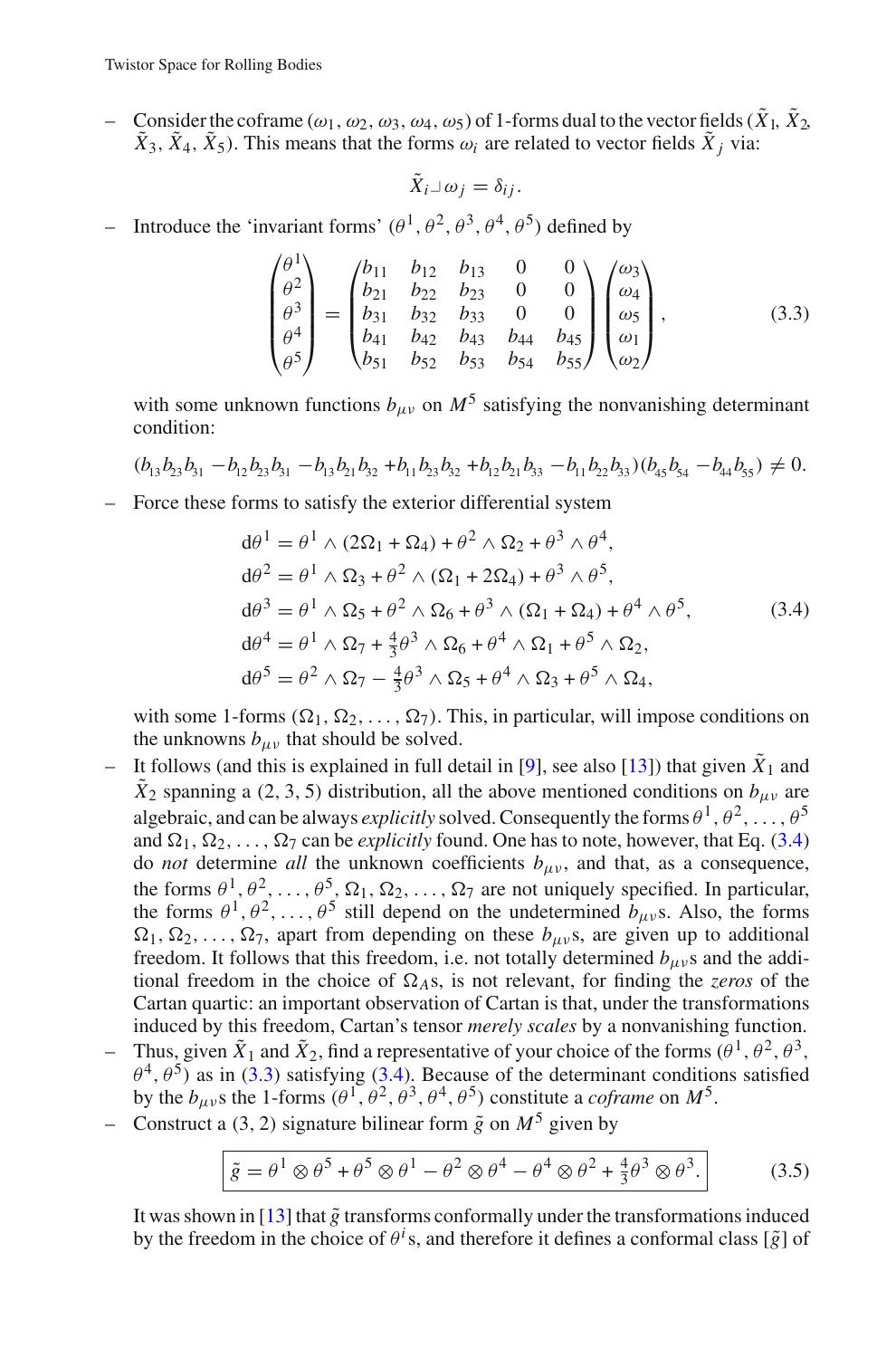Consider the coframe  $(\omega_1, \omega_2, \omega_3, \omega_4, \omega_5)$  of 1-forms dual to the vector fields  $(\tilde{X}_1, \tilde{X}_2, \omega_4, \omega_5)$  $\tilde{X}_3$ ,  $\tilde{X}_4$ ,  $\tilde{X}_5$ ). This means that the forms  $\omega_i$  are related to vector fields  $\tilde{X}_i$  via:

$$
\tilde{X}_i \lrcorner \omega_j = \delta_{ij}.
$$

– Introduce the 'invariant forms'  $(\theta^1, \theta^2, \theta^3, \theta^4, \theta^5)$  defined by

$$
\begin{pmatrix}\n\theta^1 \\
\theta^2 \\
\theta^3 \\
\theta^4 \\
\theta^5\n\end{pmatrix} = \begin{pmatrix}\nb_{11} & b_{12} & b_{13} & 0 & 0 \\
b_{21} & b_{22} & b_{23} & 0 & 0 \\
b_{31} & b_{32} & b_{33} & 0 & 0 \\
b_{41} & b_{42} & b_{43} & b_{44} & b_{45} \\
b_{51} & b_{52} & b_{53} & b_{54} & b_{55}\n\end{pmatrix} \begin{pmatrix}\n\omega_3 \\
\omega_4 \\
\omega_5 \\
\omega_1 \\
\omega_2\n\end{pmatrix},
$$
\n(3.3)

<span id="page-10-1"></span>with some unknown functions  $b_{\mu\nu}$  on  $M^5$  satisfying the nonvanishing determinant condition:

$$
(b_{13}b_{23}b_{31}-b_{12}b_{23}b_{31}-b_{13}b_{21}b_{32}+b_{11}b_{23}b_{32}+b_{12}b_{21}b_{33}-b_{11}b_{22}b_{33})(b_{45}b_{54}-b_{44}b_{55}) \neq 0.
$$

<span id="page-10-0"></span>– Force these forms to satisfy the exterior differential system

$$
d\theta^{1} = \theta^{1} \wedge (2\Omega_{1} + \Omega_{4}) + \theta^{2} \wedge \Omega_{2} + \theta^{3} \wedge \theta^{4},
$$
  
\n
$$
d\theta^{2} = \theta^{1} \wedge \Omega_{3} + \theta^{2} \wedge (\Omega_{1} + 2\Omega_{4}) + \theta^{3} \wedge \theta^{5},
$$
  
\n
$$
d\theta^{3} = \theta^{1} \wedge \Omega_{5} + \theta^{2} \wedge \Omega_{6} + \theta^{3} \wedge (\Omega_{1} + \Omega_{4}) + \theta^{4} \wedge \theta^{5},
$$
  
\n
$$
d\theta^{4} = \theta^{1} \wedge \Omega_{7} + \frac{4}{3}\theta^{3} \wedge \Omega_{6} + \theta^{4} \wedge \Omega_{1} + \theta^{5} \wedge \Omega_{2},
$$
  
\n
$$
d\theta^{5} = \theta^{2} \wedge \Omega_{7} - \frac{4}{3}\theta^{3} \wedge \Omega_{5} + \theta^{4} \wedge \Omega_{3} + \theta^{5} \wedge \Omega_{4},
$$
  
\n(3.4)

with some 1-forms  $(\Omega_1, \Omega_2, \ldots, \Omega_7)$ . This, in particular, will impose conditions on the unknowns  $b_{\mu\nu}$  that should be solved.

- It follows (and this is explained in full detail in [\[9\]](#page-21-7), see also [\[13\]](#page-21-8)) that given  $\hat{X}_1$  and  $\tilde{X}_2$  spanning a (2, 3, 5) distribution, all the above mentioned conditions on  $b_{\mu\nu}$  are algebraic, and can be always *explicitly* solved. Consequently the forms  $\theta^1, \theta^2, \ldots, \theta^5$ and  $\Omega_1, \Omega_2, \ldots, \Omega_7$  can be *explicitly* found. One has to note, however, that Eq. [\(3.4\)](#page-10-0) do *not* determine *all* the unknown coefficients  $b_{\mu\nu}$ , and that, as a consequence, the forms  $\theta^1, \theta^2, \ldots, \theta^5, \Omega_1, \Omega_2, \ldots, \Omega_7$  are not uniquely specified. In particular, the forms  $\theta^1, \theta^2, \dots, \theta^5$  still depend on the undetermined  $b_{\mu\nu}$ s. Also, the forms  $\Omega_1, \Omega_2, \ldots, \Omega_7$ , apart from depending on these  $b_{\mu\nu}$ s, are given up to additional freedom. It follows that this freedom, i.e. not totally determined  $b_{\mu\nu}$ s and the additional freedom in the choice of  $\Omega$ <sub>A</sub>s, is not relevant, for finding the *zeros* of the Cartan quartic: an important observation of Cartan is that, under the transformations induced by this freedom, Cartan's tensor *merely scales* by a nonvanishing function. Thus, given  $\tilde{X}_1$  and  $\tilde{X}_2$ , find a representative of your choice of the forms  $(\theta^1, \theta^2, \theta^3, \theta^4)$  $\theta^4$ ,  $\theta^5$ ) as in [\(3.3\)](#page-10-1) satisfying [\(3.4\)](#page-10-0). Because of the determinant conditions satisfied by the  $b_{\mu\nu}$ s the 1-forms  $(\theta^1, \theta^2, \theta^3, \theta^4, \theta^5)$  constitute a *coframe* on  $M^5$ .
- Construct a (3, 2) signature bilinear form  $\tilde{g}$  on  $M^5$  given by

$$
\tilde{g} = \theta^1 \otimes \theta^5 + \theta^5 \otimes \theta^1 - \theta^2 \otimes \theta^4 - \theta^4 \otimes \theta^2 + \frac{4}{3} \theta^3 \otimes \theta^3.
$$
 (3.5)

It was shown in  $[13]$  $[13]$  that  $\tilde{g}$  transforms conformally under the transformations induced by the freedom in the choice of  $\theta$ <sup>*i*</sup> s, and therefore it defines a conformal class [ $\tilde{g}$ ] of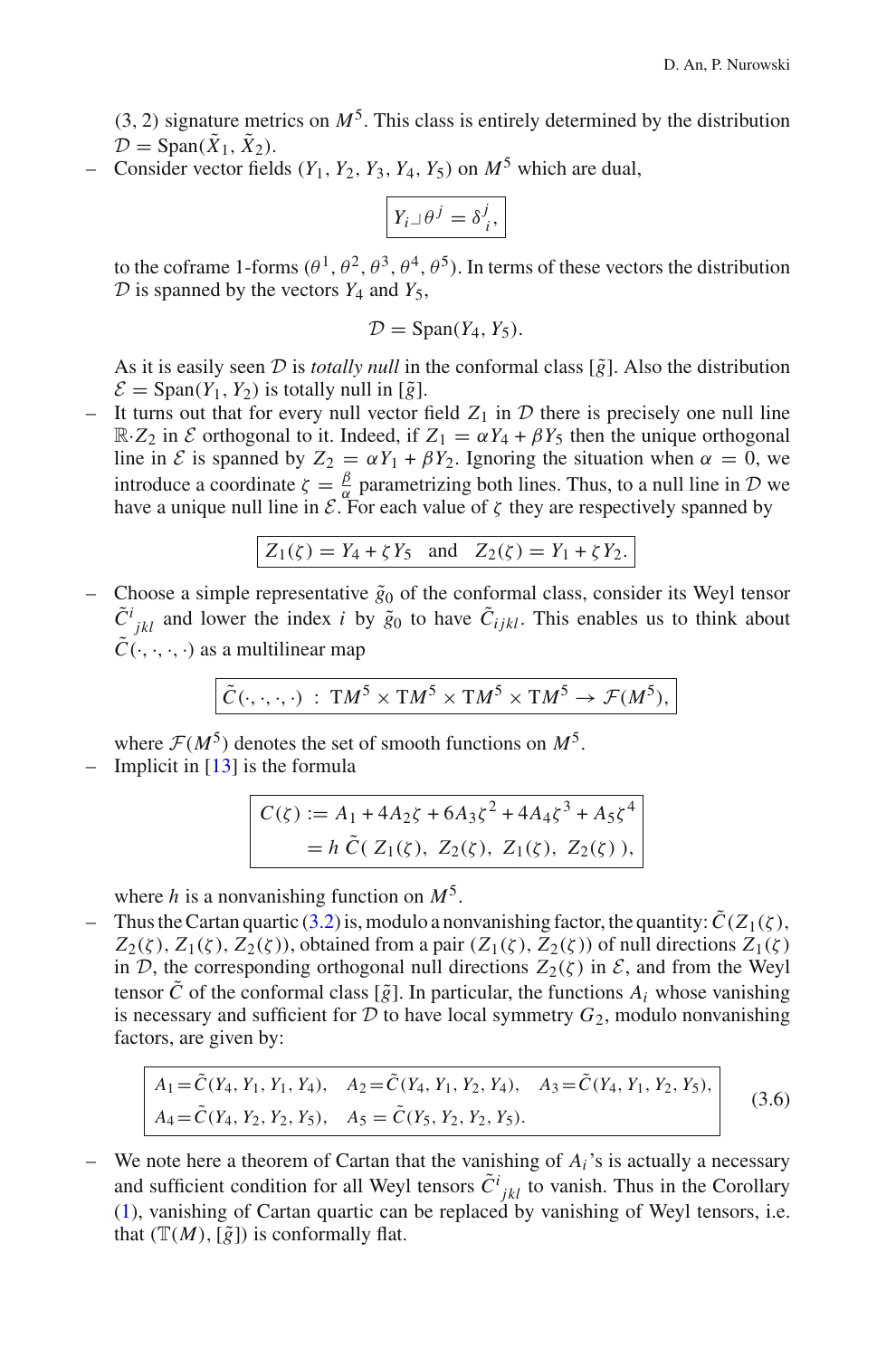$(3, 2)$  signature metrics on  $M<sup>5</sup>$ . This class is entirely determined by the distribution  $\mathcal{D} = \text{Span}(\tilde{X}_1, \tilde{X}_2).$ 

– Consider vector fields  $(Y_1, Y_2, Y_3, Y_4, Y_5)$  on  $M^5$  which are dual,

$$
Y_i \lrcorner \theta^j = \delta^j_i,
$$

to the coframe 1-forms  $(\theta^1, \theta^2, \theta^3, \theta^4, \theta^5)$ . In terms of these vectors the distribution  $D$  is spanned by the vectors  $Y_4$  and  $Y_5$ ,

$$
\mathcal{D} = \text{Span}(Y_4, Y_5).
$$

As it is easily seen  $\mathcal D$  is *totally null* in the conformal class  $[\tilde{g}]$ . Also the distribution  $\mathcal{E} = \text{Span}(Y_1, Y_2)$  is totally null in  $\lceil \tilde{g} \rceil$ .

– It turns out that for every null vector field  $Z_1$  in  $D$  there is precisely one null line  $\mathbb{R} \cdot Z_2$  in *E* orthogonal to it. Indeed, if  $Z_1 = \alpha Y_4 + \beta Y_5$  then the unique orthogonal line in *E* is spanned by  $Z_2 = \alpha Y_1 + \beta Y_2$ . Ignoring the situation when  $\alpha = 0$ , we introduce a coordinate  $\zeta = \frac{\beta}{\alpha}$  parametrizing both lines. Thus, to a null line in *D* we have a unique null line in  $\mathcal{E}$ . For each value of  $\zeta$  they are respectively spanned by

$$
Z_1(\zeta) = Y_4 + \zeta Y_5
$$
 and  $Z_2(\zeta) = Y_1 + \zeta Y_2$ .

– Choose a simple representative  $\tilde{g}_0$  of the conformal class, consider its Weyl tensor  $\tilde{C}^{i}{}_{jkl}$  and lower the index *i* by  $\tilde{g}_0$  to have  $\tilde{C}_{ijkl}$ . This enables us to think about  $\tilde{C}(\cdot,\cdot,\cdot,\cdot)$  as a multilinear map

$$
\tilde{C}(\cdot,\cdot,\cdot,\cdot) \; : \; TM^5 \times TM^5 \times TM^5 \times TM^5 \to \mathcal{F}(M^5),
$$

where  $\mathcal{F}(M^5)$  denotes the set of smooth functions on  $M^5$ .

– Implicit in  $[13]$  is the formula

$$
C(\zeta) := A_1 + 4A_2\zeta + 6A_3\zeta^2 + 4A_4\zeta^3 + A_5\zeta^4
$$
  
=  $h \tilde{C}(Z_1(\zeta), Z_2(\zeta), Z_1(\zeta), Z_2(\zeta)),$ 

where *h* is a nonvanishing function on *M*5.

– Thus the Cartan quartic [\(3.2\)](#page-9-0) is, modulo a nonvanishing factor, the quantity:  $\tilde{C}(Z_1(\zeta),$  $Z_2(\zeta)$ ,  $Z_1(\zeta)$ ,  $Z_2(\zeta)$ ), obtained from a pair  $(Z_1(\zeta), Z_2(\zeta))$  of null directions  $Z_1(\zeta)$ in *D*, the corresponding orthogonal null directions  $Z_2(\zeta)$  in  $\mathcal{E}$ , and from the Weyl tensor  $\tilde{C}$  of the conformal class [ $\tilde{g}$ ]. In particular, the functions  $A_i$  whose vanishing is necessary and sufficient for  $D$  to have local symmetry  $G_2$ , modulo nonvanishing factors, are given by:

$$
A_1 = \tilde{C}(Y_4, Y_1, Y_1, Y_4), \quad A_2 = \tilde{C}(Y_4, Y_1, Y_2, Y_4), \quad A_3 = \tilde{C}(Y_4, Y_1, Y_2, Y_5), A_4 = \tilde{C}(Y_4, Y_2, Y_2, Y_5), \quad A_5 = \tilde{C}(Y_5, Y_2, Y_2, Y_5).
$$
\n(3.6)

– We note here a theorem of Cartan that the vanishing of *Ai*'s is actually a necessary and sufficient condition for all Weyl tensors  $\tilde{C}^i_{jkl}$  to vanish. Thus in the Corollary [\(1\)](#page-9-1), vanishing of Cartan quartic can be replaced by vanishing of Weyl tensors, i.e. that  $(\mathbb{T}(M), [\tilde{g}])$  is conformally flat.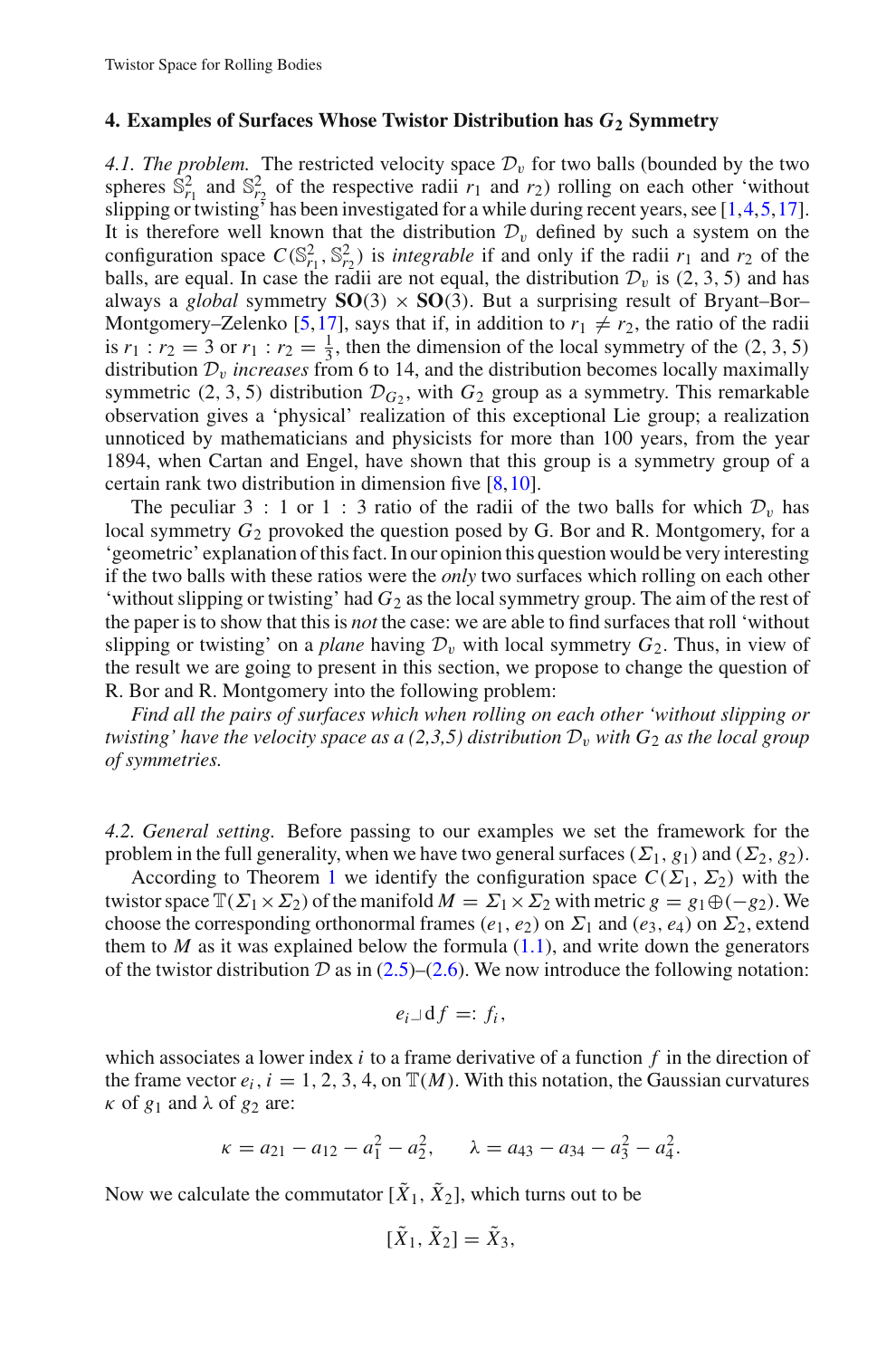#### <span id="page-12-0"></span>**4. Examples of Surfaces Whose Twistor Distribution has** *G***<sup>2</sup> Symmetry**

*4.1. The problem.* The restricted velocity space  $\mathcal{D}_v$  for two balls (bounded by the two spheres  $\bar{S}_{r_1}^2$  and  $\bar{S}_{r_2}^2$  of the respective radii  $r_1$  and  $r_2$ ) rolling on each other 'without slipping or twisting<sup> $\ddot{\tau}$ </sup> has been investigated for a while during recent years, see [\[1](#page-21-13)[,4](#page-21-1)[,5](#page-21-14),[17](#page-21-15)]. It is therefore well known that the distribution  $\mathcal{D}_v$  defined by such a system on the configuration space  $C(S_{r_1}^2, S_{r_2}^2)$  is *integrable* if and only if the radii  $r_1$  and  $r_2$  of the balls, are equal. In case the radii are not equal, the distribution  $\mathcal{D}_v$  is (2, 3, 5) and has always a *global* symmetry  $SO(3) \times SO(3)$ . But a surprising result of Bryant–Bor– Montgomery–Zelenko [\[5](#page-21-14),[17\]](#page-21-15), says that if, in addition to  $r_1 \neq r_2$ , the ratio of the radii is  $r_1 : r_2 = 3$  or  $r_1 : r_2 = \frac{1}{3}$ , then the dimension of the local symmetry of the (2, 3, 5) distribution  $\mathcal{D}_v$  *increases* from 6 to 14, and the distribution becomes locally maximally symmetric (2, 3, 5) distribution  $\mathcal{D}_G$ , with  $G_2$  group as a symmetry. This remarkable observation gives a 'physical' realization of this exceptional Lie group; a realization unnoticed by mathematicians and physicists for more than 100 years, from the year 1894, when Cartan and Engel, have shown that this group is a symmetry group of a certain rank two distribution in dimension five [\[8](#page-21-10)[,10](#page-21-11)].

The peculiar 3 : 1 or 1 : 3 ratio of the radii of the two balls for which  $\mathcal{D}_v$  has local symmetry  $G_2$  provoked the question posed by G. Bor and R. Montgomery, for a 'geometric' explanation of this fact. In our opinion this question would be very interesting if the two balls with these ratios were the *only* two surfaces which rolling on each other 'without slipping or twisting' had *G*<sup>2</sup> as the local symmetry group. The aim of the rest of the paper is to show that this is *not* the case: we are able to find surfaces that roll 'without slipping or twisting' on a *plane* having  $\mathcal{D}_v$  with local symmetry  $G_2$ . Thus, in view of the result we are going to present in this section, we propose to change the question of R. Bor and R. Montgomery into the following problem:

*Find all the pairs of surfaces which when rolling on each other 'without slipping or twisting' have the velocity space as a (2,3,5) distribution*  $D_v$  *with*  $G_2$  *as the local group of symmetries.*

*4.2. General setting.* Before passing to our examples we set the framework for the problem in the full generality, when we have two general surfaces ( $\Sigma_1$ ,  $g_1$ ) and ( $\Sigma_2$ ,  $g_2$ ).

According to Theorem [1](#page-7-1) we identify the configuration space  $C(\Sigma_1, \Sigma_2)$  with the twistor space  $\mathbb{T}(\Sigma_1 \times \Sigma_2)$  of the manifold  $M = \Sigma_1 \times \Sigma_2$  with metric  $g = g_1 \oplus (-g_2)$ . We choose the corresponding orthonormal frames ( $e_1, e_2$ ) on  $\Sigma_1$  and ( $e_3, e_4$ ) on  $\Sigma_2$ , extend them to  $M$  as it was explained below the formula  $(1.1)$ , and write down the generators of the twistor distribution  $D$  as in  $(2.5)$ – $(2.6)$ . We now introduce the following notation:

$$
e_i \lrcorner \, df =: f_i,
$$

which associates a lower index *i* to a frame derivative of a function *f* in the direction of the frame vector  $e_i$ ,  $i = 1, 2, 3, 4$ , on  $\mathbb{T}(M)$ . With this notation, the Gaussian curvatures  $\kappa$  of  $g_1$  and  $\lambda$  of  $g_2$  are:

$$
\kappa = a_{21} - a_{12} - a_1^2 - a_2^2, \qquad \lambda = a_{43} - a_{34} - a_3^2 - a_4^2.
$$

Now we calculate the commutator  $[\tilde{X}_1, \tilde{X}_2]$ , which turns out to be

$$
[\tilde{X}_1, \tilde{X}_2] = \tilde{X}_3,
$$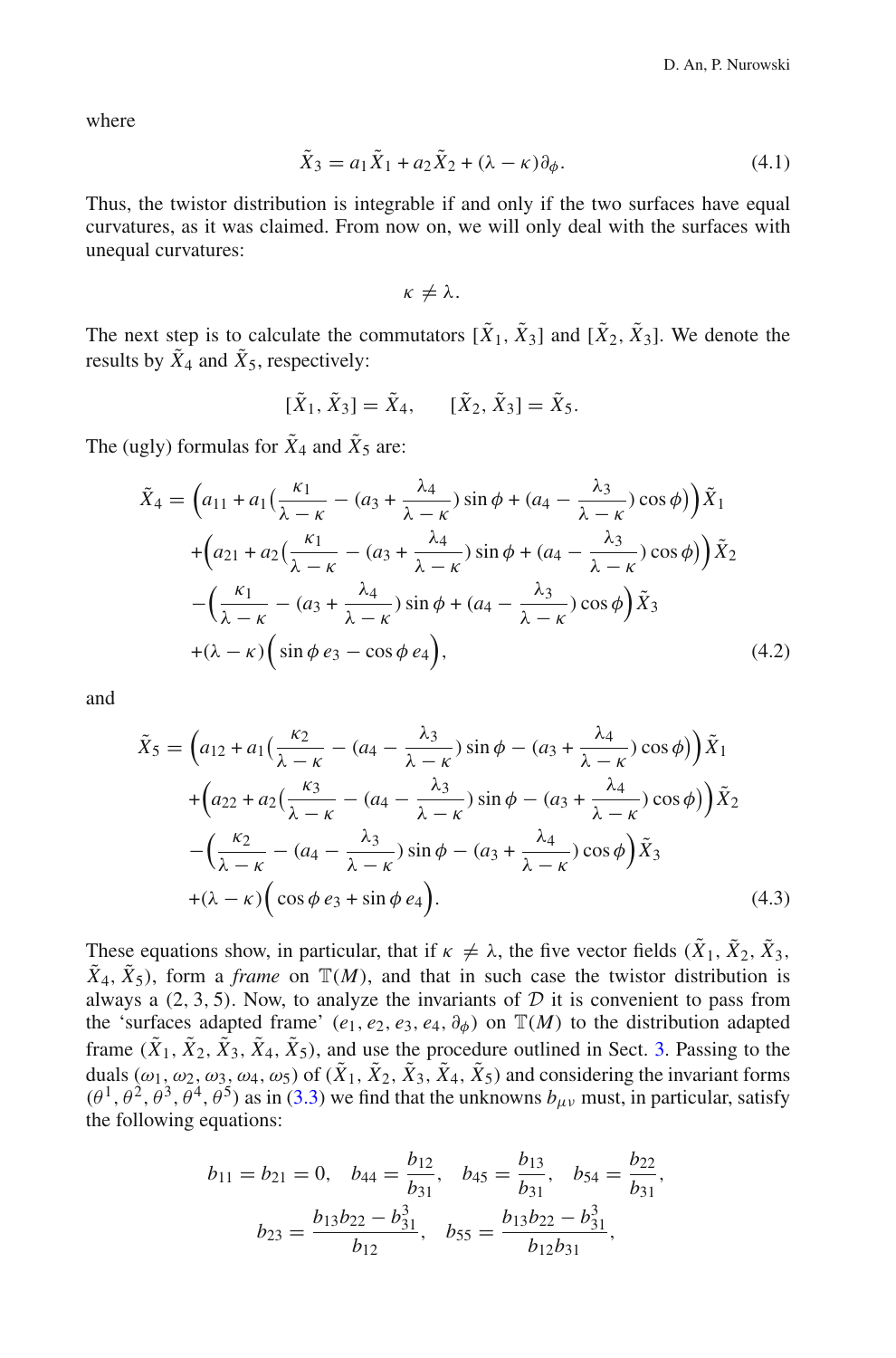<span id="page-13-0"></span>where

$$
\tilde{X}_3 = a_1 \tilde{X}_1 + a_2 \tilde{X}_2 + (\lambda - \kappa) \partial_{\phi}.
$$
\n(4.1)

Thus, the twistor distribution is integrable if and only if the two surfaces have equal curvatures, as it was claimed. From now on, we will only deal with the surfaces with unequal curvatures:

 $\kappa \neq \lambda$ .

The next step is to calculate the commutators  $[\tilde{X}_1, \tilde{X}_3]$  and  $[\tilde{X}_2, \tilde{X}_3]$ . We denote the results by  $\tilde{X}_4$  and  $\tilde{X}_5$ , respectively:

$$
[\tilde{X}_1, \tilde{X}_3] = \tilde{X}_4, \quad [\tilde{X}_2, \tilde{X}_3] = \tilde{X}_5.
$$

<span id="page-13-1"></span>The (ugly) formulas for  $\tilde{X}_4$  and  $\tilde{X}_5$  are:

$$
\tilde{X}_4 = \left(a_{11} + a_1\left(\frac{\kappa_1}{\lambda - \kappa} - (a_3 + \frac{\lambda_4}{\lambda - \kappa})\sin\phi + (a_4 - \frac{\lambda_3}{\lambda - \kappa})\cos\phi\right)\right)\tilde{X}_1
$$
  
 
$$
+ \left(a_{21} + a_2\left(\frac{\kappa_1}{\lambda - \kappa} - (a_3 + \frac{\lambda_4}{\lambda - \kappa})\sin\phi + (a_4 - \frac{\lambda_3}{\lambda - \kappa})\cos\phi\right)\right)\tilde{X}_2
$$
  
 
$$
- \left(\frac{\kappa_1}{\lambda - \kappa} - (a_3 + \frac{\lambda_4}{\lambda - \kappa})\sin\phi + (a_4 - \frac{\lambda_3}{\lambda - \kappa})\cos\phi\right)\tilde{X}_3
$$
  
 
$$
+ (\lambda - \kappa)\left(\sin\phi\,e_3 - \cos\phi\,e_4\right), \tag{4.2}
$$

<span id="page-13-2"></span>and

$$
\tilde{X}_{5} = \left(a_{12} + a_{1}\left(\frac{\kappa_{2}}{\lambda - \kappa} - (a_{4} - \frac{\lambda_{3}}{\lambda - \kappa})\sin\phi - (a_{3} + \frac{\lambda_{4}}{\lambda - \kappa})\cos\phi\right)\right)\tilde{X}_{1} + \left(a_{22} + a_{2}\left(\frac{\kappa_{3}}{\lambda - \kappa} - (a_{4} - \frac{\lambda_{3}}{\lambda - \kappa})\sin\phi - (a_{3} + \frac{\lambda_{4}}{\lambda - \kappa})\cos\phi\right)\right)\tilde{X}_{2} - \left(\frac{\kappa_{2}}{\lambda - \kappa} - (a_{4} - \frac{\lambda_{3}}{\lambda - \kappa})\sin\phi - (a_{3} + \frac{\lambda_{4}}{\lambda - \kappa})\cos\phi\right)\tilde{X}_{3} + (\lambda - \kappa)\left(\cos\phi\ e_{3} + \sin\phi\ e_{4}\right).
$$
\n(4.3)

These equations show, in particular, that if  $\kappa \neq \lambda$ , the five vector fields  $(\tilde{X}_1, \tilde{X}_2, \tilde{X}_3, \tilde{X}_4)$  $\tilde{X}_4$ ,  $\tilde{X}_5$ ), form a *frame* on  $\mathbb{T}(M)$ , and that in such case the twistor distribution is always a  $(2, 3, 5)$ . Now, to analyze the invariants of  $D$  it is convenient to pass from the 'surfaces adapted frame'  $(e_1, e_2, e_3, e_4, \partial_{\phi})$  on  $\mathbb{T}(M)$  to the distribution adapted frame  $(\tilde{X}_1, \tilde{X}_2, \tilde{X}_3, \tilde{X}_4, \tilde{X}_5)$ , and use the procedure outlined in Sect. [3.](#page-8-0) Passing to the duals ( $\omega_1, \omega_2, \omega_3, \omega_4, \omega_5$ ) of ( $\tilde{X}_1, \tilde{X}_2, \tilde{X}_3, \tilde{X}_4, \tilde{X}_5$ ) and considering the invariant forms  $(\theta^1, \theta^2, \theta^3, \theta^4, \theta^5)$  as in [\(3.3\)](#page-10-1) we find that the unknowns  $b_{\mu\nu}$  must, in particular, satisfy the following equations:

$$
b_{11} = b_{21} = 0, \quad b_{44} = \frac{b_{12}}{b_{31}}, \quad b_{45} = \frac{b_{13}}{b_{31}}, \quad b_{54} = \frac{b_{22}}{b_{31}},
$$

$$
b_{23} = \frac{b_{13}b_{22} - b_{31}^3}{b_{12}}, \quad b_{55} = \frac{b_{13}b_{22} - b_{31}^3}{b_{12}b_{31}},
$$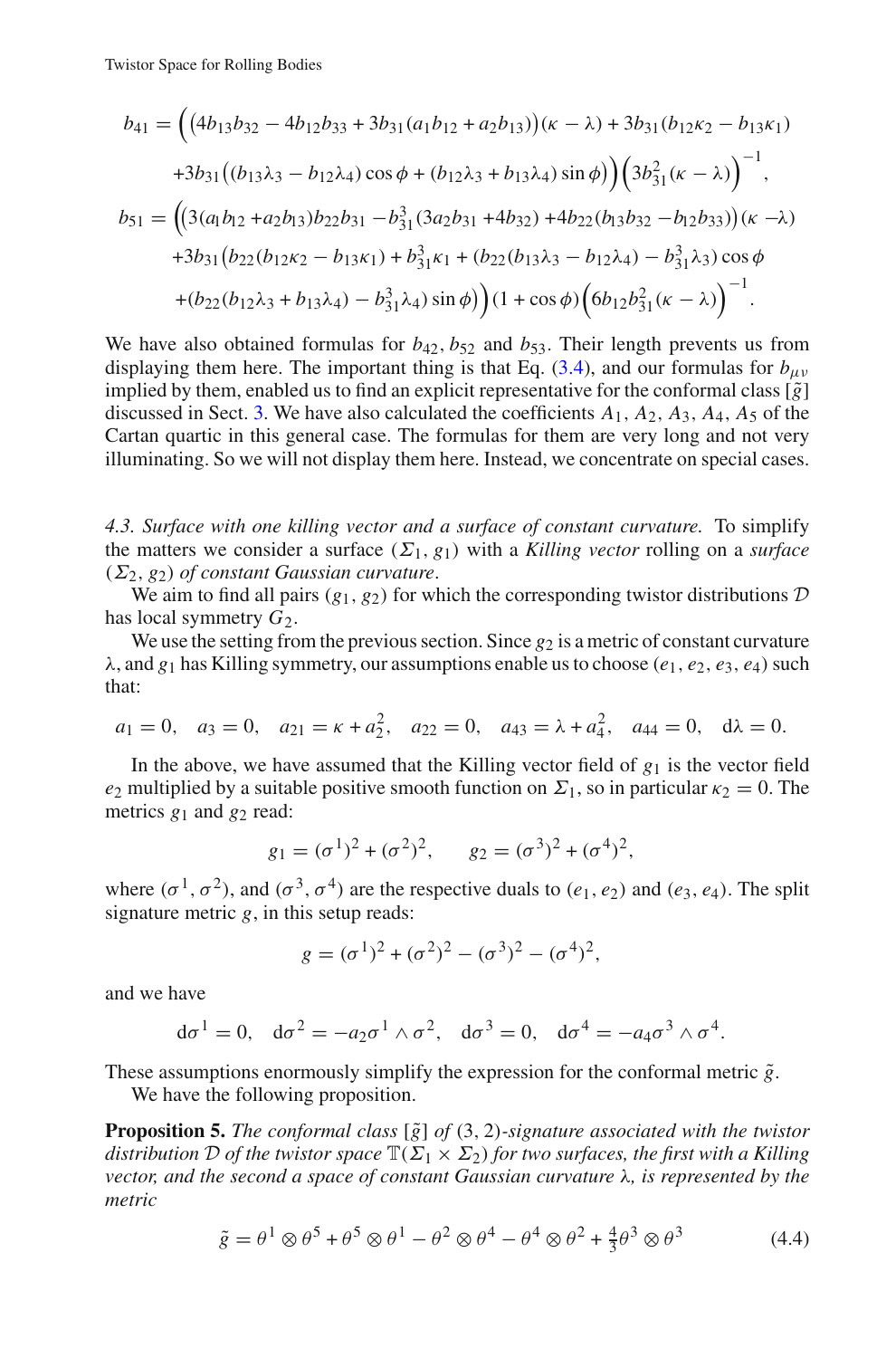$$
b_{41} = ((4b_{13}b_{32} - 4b_{12}b_{33} + 3b_{31}(a_1b_{12} + a_2b_{13}))(\kappa - \lambda) + 3b_{31}(b_{12}\kappa_2 - b_{13}\kappa_1)
$$
  
+3b<sub>31</sub>((b<sub>13</sub>\lambda<sub>3</sub> - b<sub>12</sub>\lambda<sub>4</sub>) cos φ + (b<sub>12</sub>\lambda<sub>3</sub> + b<sub>13</sub>\lambda<sub>4</sub>) sin φ)) $(3b_{31}^2(\kappa - \lambda))$ <sup>-1</sup>,  

$$
b_{51} = ((3(a_1b_{12} + a_2b_{13})b_{22}b_{31} - b_{31}^3(3a_2b_{31} + 4b_{32}) + 4b_{22}(b_{13}b_{32} - b_{12}b_{33}))(\kappa - \lambda)
$$
  
+3b<sub>31</sub>(b<sub>22</sub>(b<sub>12</sub>\kappa<sub>2</sub> - b<sub>13</sub>\kappa<sub>1</sub>) + b<sub>31</sub>^3\kappa<sub>1</sub> + (b<sub>22</sub>(b<sub>13</sub>\lambda<sub>3</sub> - b<sub>12</sub>\lambda<sub>4</sub>) - b<sub>31</sub>^3\lambda<sub>3</sub>) cos φ  
+ (b<sub>22</sub>(b<sub>12</sub>\lambda<sub>3</sub> + b<sub>13</sub>\lambda<sub>4</sub>) - b<sub>31</sub>^3\lambda<sub>4</sub>) sin φ) (1 + cos φ) (6b<sub>12</sub>b<sub>31</sub>^2(\kappa - \lambda))<sup>-1</sup>.

We have also obtained formulas for  $b_{42}$ ,  $b_{52}$  and  $b_{53}$ . Their length prevents us from displaying them here. The important thing is that Eq.  $(3.4)$ , and our formulas for  $b_{\mu\nu}$ implied by them, enabled us to find an explicit representative for the conformal class  $[\tilde{g}]$ discussed in Sect. [3.](#page-8-0) We have also calculated the coefficients *A*1, *A*2, *A*3, *A*4, *A*<sup>5</sup> of the Cartan quartic in this general case. The formulas for them are very long and not very illuminating. So we will not display them here. Instead, we concentrate on special cases.

<span id="page-14-2"></span>*4.3. Surface with one killing vector and a surface of constant curvature.* To simplify the matters we consider a surface  $(\Sigma_1, g_1)$  with a *Killing vector* rolling on a *surface*  $(\Sigma_2, g_2)$  *of constant Gaussian curvature.* 

We aim to find all pairs  $(g_1, g_2)$  for which the corresponding twistor distributions  $D$ has local symmetry  $G_2$ .

We use the setting from the previous section. Since  $g_2$  is a metric of constant curvature  $\lambda$ , and  $g_1$  has Killing symmetry, our assumptions enable us to choose ( $e_1, e_2, e_3, e_4$ ) such that:

$$
a_1 = 0
$$
,  $a_3 = 0$ ,  $a_{21} = \kappa + a_2^2$ ,  $a_{22} = 0$ ,  $a_{43} = \lambda + a_4^2$ ,  $a_{44} = 0$ ,  $d\lambda = 0$ .

In the above, we have assumed that the Killing vector field of  $g_1$  is the vector field *e*<sub>2</sub> multiplied by a suitable positive smooth function on  $\Sigma_1$ , so in particular  $\kappa_2 = 0$ . The metrics  $g_1$  and  $g_2$  read:

$$
g_1 = (\sigma^1)^2 + (\sigma^2)^2
$$
,  $g_2 = (\sigma^3)^2 + (\sigma^4)^2$ ,

where  $(\sigma^1, \sigma^2)$ , and  $(\sigma^3, \sigma^4)$  are the respective duals to  $(e_1, e_2)$  and  $(e_3, e_4)$ . The split signature metric *g*, in this setup reads:

$$
g = (\sigma^{1})^{2} + (\sigma^{2})^{2} - (\sigma^{3})^{2} - (\sigma^{4})^{2},
$$

and we have

<span id="page-14-0"></span>
$$
d\sigma^{1} = 0
$$
,  $d\sigma^{2} = -a_{2}\sigma^{1} \wedge \sigma^{2}$ ,  $d\sigma^{3} = 0$ ,  $d\sigma^{4} = -a_{4}\sigma^{3} \wedge \sigma^{4}$ .

These assumptions enormously simplify the expression for the conformal metric  $\tilde{g}$ . We have the following proposition.

<span id="page-14-1"></span>**Proposition 5.** *The conformal class* [ $\tilde{g}$ ] *of* (3, 2)*-signature associated with the twistor distribution D of the twistor space*  $\mathbb{T}(\Sigma_1 \times \Sigma_2)$  *for two surfaces, the first with a Killing vector, and the second a space of constant Gaussian curvature* λ*, is represented by the metric*

$$
\tilde{g} = \theta^1 \otimes \theta^5 + \theta^5 \otimes \theta^1 - \theta^2 \otimes \theta^4 - \theta^4 \otimes \theta^2 + \frac{4}{3} \theta^3 \otimes \theta^3 \tag{4.4}
$$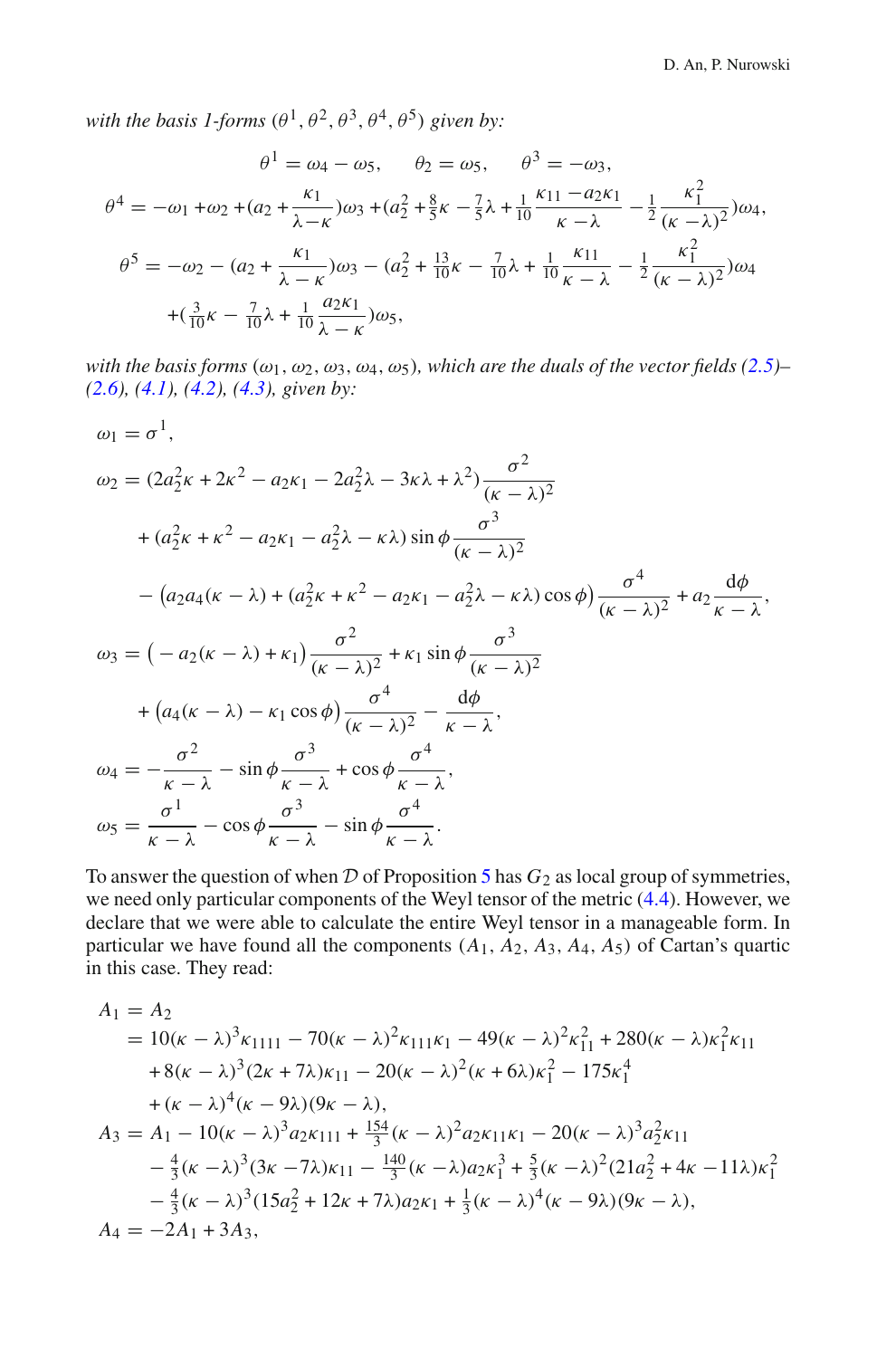*with the basis 1-forms*  $(\theta^1, \theta^2, \theta^3, \theta^4, \theta^5)$  *given by:* 

$$
\theta^{1} = \omega_{4} - \omega_{5}, \quad \theta_{2} = \omega_{5}, \quad \theta^{3} = -\omega_{3},
$$
  

$$
\theta^{4} = -\omega_{1} + \omega_{2} + (a_{2} + \frac{\kappa_{1}}{\lambda - \kappa})\omega_{3} + (a_{2}^{2} + \frac{8}{5}\kappa - \frac{7}{5}\lambda + \frac{1}{10}\frac{\kappa_{11} - a_{2}\kappa_{1}}{\kappa - \lambda} - \frac{1}{2}\frac{\kappa_{1}^{2}}{(\kappa - \lambda)^{2}})\omega_{4},
$$
  

$$
\theta^{5} = -\omega_{2} - (a_{2} + \frac{\kappa_{1}}{\lambda - \kappa})\omega_{3} - (a_{2}^{2} + \frac{13}{10}\kappa - \frac{7}{10}\lambda + \frac{1}{10}\frac{\kappa_{11}}{\kappa - \lambda} - \frac{1}{2}\frac{\kappa_{1}^{2}}{(\kappa - \lambda)^{2}})\omega_{4}
$$
  

$$
+ (\frac{3}{10}\kappa - \frac{7}{10}\lambda + \frac{1}{10}\frac{a_{2}\kappa_{1}}{\lambda - \kappa})\omega_{5},
$$

*with the basis forms*  $(\omega_1, \omega_2, \omega_3, \omega_4, \omega_5)$ *, which are the duals of the vector fields*  $(2.5)$ *– [\(2.6\)](#page-7-0), [\(4.1\)](#page-13-0), [\(4.2\)](#page-13-1), [\(4.3\)](#page-13-2), given by:*

$$
\omega_1 = \sigma^1,
$$
  
\n
$$
\omega_2 = (2a_2^2 \kappa + 2\kappa^2 - a_2 \kappa_1 - 2a_2^2 \lambda - 3\kappa \lambda + \lambda^2) \frac{\sigma^2}{(\kappa - \lambda)^2}
$$
  
\n+  $(a_2^2 \kappa + \kappa^2 - a_2 \kappa_1 - a_2^2 \lambda - \kappa \lambda) \sin \phi \frac{\sigma^3}{(\kappa - \lambda)^2}$   
\n-  $(a_2 a_4 (\kappa - \lambda) + (a_2^2 \kappa + \kappa^2 - a_2 \kappa_1 - a_2^2 \lambda - \kappa \lambda) \cos \phi) \frac{\sigma^4}{(\kappa - \lambda)^2} + a_2 \frac{d\phi}{\kappa - \lambda},$   
\n
$$
\omega_3 = (-a_2 (\kappa - \lambda) + \kappa_1) \frac{\sigma^2}{(\kappa - \lambda)^2} + \kappa_1 \sin \phi \frac{\sigma^3}{(\kappa - \lambda)^2}
$$
  
\n+  $(a_4 (\kappa - \lambda) - \kappa_1 \cos \phi) \frac{\sigma^4}{(\kappa - \lambda)^2} - \frac{d\phi}{\kappa - \lambda},$   
\n
$$
\omega_4 = -\frac{\sigma^2}{\kappa - \lambda} - \sin \phi \frac{\sigma^3}{\kappa - \lambda} + \cos \phi \frac{\sigma^4}{\kappa - \lambda},
$$
  
\n
$$
\omega_5 = \frac{\sigma^1}{\kappa - \lambda} - \cos \phi \frac{\sigma^3}{\kappa - \lambda} - \sin \phi \frac{\sigma^4}{\kappa - \lambda}.
$$

To answer the question of when  $D$  of Proposition [5](#page-14-0) has  $G_2$  as local group of symmetries, we need only particular components of the Weyl tensor of the metric [\(4.4\)](#page-14-1). However, we declare that we were able to calculate the entire Weyl tensor in a manageable form. In particular we have found all the components  $(A_1, A_2, A_3, A_4, A_5)$  of Cartan's quartic in this case. They read:

<span id="page-15-0"></span>
$$
A_1 = A_2
$$
  
= 10( $\kappa - \lambda$ )<sup>3</sup> $\kappa_{1111} - 70(\kappa - \lambda)^2 \kappa_{111}\kappa_1 - 49(\kappa - \lambda)^2 \kappa_{11}^2 + 280(\kappa - \lambda)\kappa_1^2 \kappa_{11} + 8(\kappa - \lambda)^3 (2\kappa + 7\lambda)\kappa_{11} - 20(\kappa - \lambda)^2 (\kappa + 6\lambda)\kappa_1^2 - 175\kappa_1^4 + (\kappa - \lambda)^4 (\kappa - 9\lambda)(9\kappa - \lambda),$   

$$
A_3 = A_1 - 10(\kappa - \lambda)^3 a_2 \kappa_{111} + \frac{154}{3}(\kappa - \lambda)^2 a_2 \kappa_{11}\kappa_1 - 20(\kappa - \lambda)^3 a_2^2 \kappa_{11} - \frac{4}{3}(\kappa - \lambda)^3 (3\kappa - 7\lambda)\kappa_{11} - \frac{140}{3}(\kappa - \lambda)a_2 \kappa_1^3 + \frac{5}{3}(\kappa - \lambda)^2 (21a_2^2 + 4\kappa - 11\lambda)\kappa_1^2 - \frac{4}{3}(\kappa - \lambda)^3 (15a_2^2 + 12\kappa + 7\lambda)a_2 \kappa_1 + \frac{1}{3}(\kappa - \lambda)^4 (\kappa - 9\lambda)(9\kappa - \lambda),
$$
  

$$
A_4 = -2A_1 + 3A_3,
$$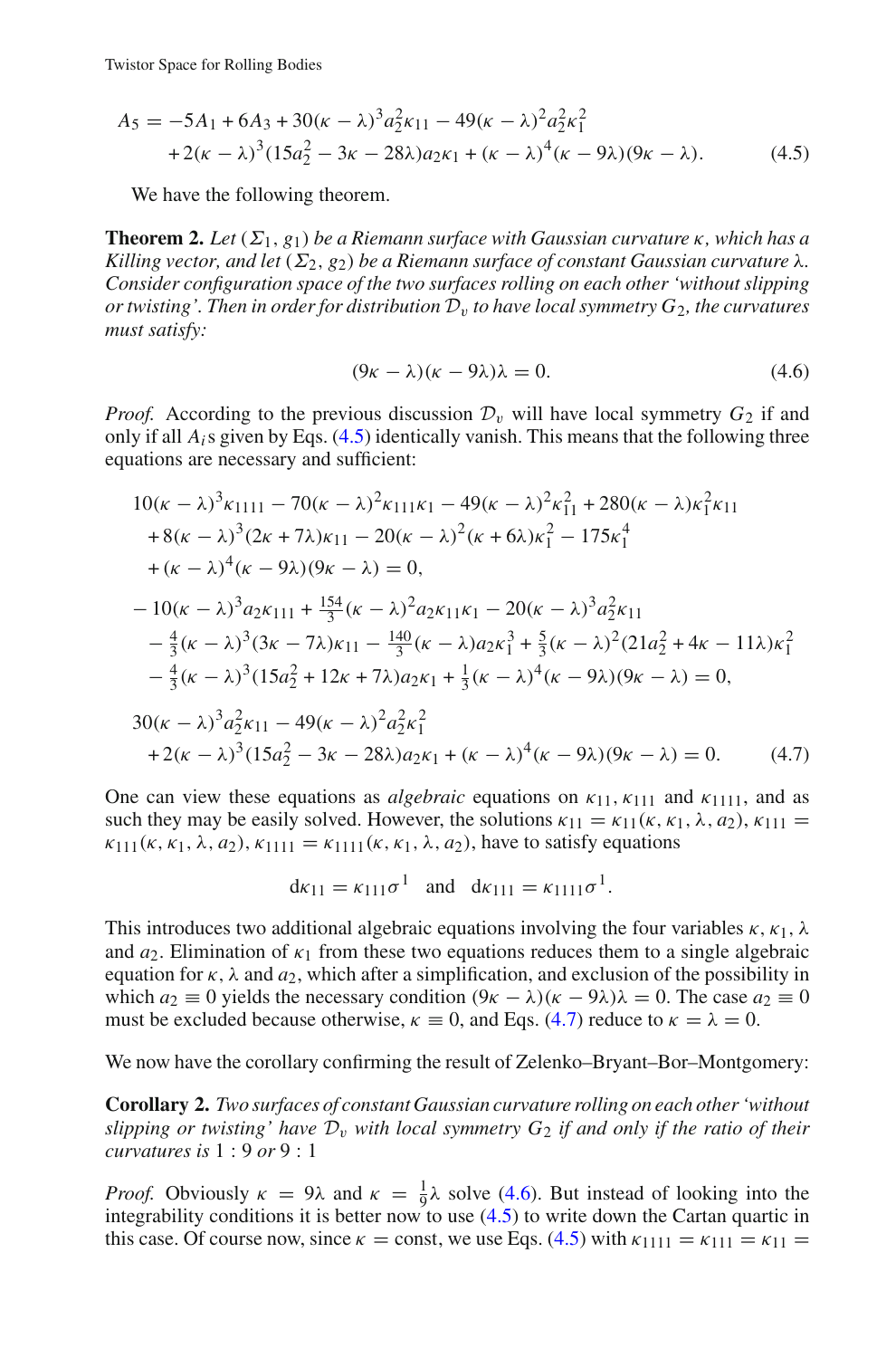$$
A_5 = -5A_1 + 6A_3 + 30(\kappa - \lambda)^3 a_2^2 \kappa_{11} - 49(\kappa - \lambda)^2 a_2^2 \kappa_1^2 + 2(\kappa - \lambda)^3 (15a_2^2 - 3\kappa - 28\lambda) a_2 \kappa_1 + (\kappa - \lambda)^4 (\kappa - 9\lambda)(9\kappa - \lambda).
$$
 (4.5)

We have the following theorem.

<span id="page-16-2"></span>**Theorem 2.** Let  $(\Sigma_1, g_1)$  be a Riemann surface with Gaussian curvature  $\kappa$ , which has a *Killing vector, and let*  $(\Sigma_2, g_2)$  *be a Riemann surface of constant Gaussian curvature*  $\lambda$ *. Consider configuration space of the two surfaces rolling on each other 'without slipping or twisting'. Then in order for distribution*  $D<sub>v</sub>$  *to have local symmetry*  $G<sub>2</sub>$ *, the curvatures must satisfy:*

$$
(9\kappa - \lambda)(\kappa - 9\lambda)\lambda = 0. \tag{4.6}
$$

<span id="page-16-1"></span><span id="page-16-0"></span>*Proof.* According to the previous discussion  $\mathcal{D}_v$  will have local symmetry  $G_2$  if and only if all *Ai*s given by Eqs. [\(4.5\)](#page-15-0) identically vanish. This means that the following three equations are necessary and sufficient:

$$
10(\kappa - \lambda)^3 \kappa_{1111} - 70(\kappa - \lambda)^2 \kappa_{111} \kappa_1 - 49(\kappa - \lambda)^2 \kappa_{11}^2 + 280(\kappa - \lambda) \kappa_1^2 \kappa_{11} + 8(\kappa - \lambda)^3 (2\kappa + 7\lambda) \kappa_{11} - 20(\kappa - \lambda)^2 (\kappa + 6\lambda) \kappa_1^2 - 175\kappa_1^4 + (\kappa - \lambda)^4 (\kappa - 9\lambda)(9\kappa - \lambda) = 0,
$$
  
- 10(\kappa - \lambda)^3 a\_2 \kappa\_{111} + \frac{154}{3} (\kappa - \lambda)^2 a\_2 \kappa\_{11} \kappa\_1 - 20(\kappa - \lambda)^3 a\_2^2 \kappa\_{11}   
- \frac{4}{3} (\kappa - \lambda)^3 (3\kappa - 7\lambda) \kappa\_{11} - \frac{140}{3} (\kappa - \lambda) a\_2 \kappa\_1^3 + \frac{5}{3} (\kappa - \lambda)^2 (21 a\_2^2 + 4\kappa - 11\lambda) \kappa\_1^2   
- \frac{4}{3} (\kappa - \lambda)^3 (15 a\_2^2 + 12\kappa + 7\lambda) a\_2 \kappa\_1 + \frac{1}{3} (\kappa - \lambda)^4 (\kappa - 9\lambda)(9\kappa - \lambda) = 0,  
30(\kappa - \lambda)^3 a\_2^2 \kappa\_{11} - 49(\kappa - \lambda)^2 a\_2^2 \kappa\_1^2   
+ 2(\kappa - \lambda)^3 (15 a\_2^2 - 3\kappa - 28\lambda) a\_2 \kappa\_1 + (\kappa - \lambda)^4 (\kappa - 9\lambda)(9\kappa - \lambda) = 0. (4.7)

One can view these equations as *algebraic* equations on  $\kappa_{11}$ ,  $\kappa_{111}$  and  $\kappa_{1111}$ , and as such they may be easily solved. However, the solutions  $\kappa_{11} = \kappa_{11}(\kappa, \kappa_1, \lambda, a_2), \kappa_{111} =$  $\kappa_{111}(\kappa, \kappa_1, \lambda, a_2), \kappa_{1111} = \kappa_{1111}(\kappa, \kappa_1, \lambda, a_2)$ , have to satisfy equations

$$
d\kappa_{11} = \kappa_{111}\sigma^1
$$
 and  $d\kappa_{111} = \kappa_{1111}\sigma^1$ .

This introduces two additional algebraic equations involving the four variables  $\kappa$ ,  $\kappa_1$ ,  $\lambda$ and  $a_2$ . Elimination of  $\kappa_1$  from these two equations reduces them to a single algebraic equation for  $\kappa$ ,  $\lambda$  and  $a_2$ , which after a simplification, and exclusion of the possibility in which  $a_2 \equiv 0$  yields the necessary condition  $(9\kappa - \lambda)(\kappa - 9\lambda)\lambda = 0$ . The case  $a_2 \equiv 0$ must be excluded because otherwise,  $\kappa \equiv 0$ , and Eqs. [\(4.7\)](#page-16-0) reduce to  $\kappa = \lambda = 0$ .

We now have the corollary confirming the result of Zelenko–Bryant–Bor–Montgomery:

**Corollary 2.** *Two surfaces of constant Gaussian curvature rolling on each other 'without slipping or twisting' have*  $\mathcal{D}_v$  *with local symmetry*  $G_2$  *if and only if the ratio of their curvatures is* 1 : 9 *or* 9 : 1

*Proof.* Obviously  $\kappa = 9\lambda$  and  $\kappa = \frac{1}{9}\lambda$  solve [\(4.6\)](#page-16-1). But instead of looking into the integrability conditions it is better now to use [\(4.5\)](#page-15-0) to write down the Cartan quartic in this case. Of course now, since  $\kappa = \text{const}$ , we use Eqs. [\(4.5\)](#page-15-0) with  $\kappa_{1111} = \kappa_{111} = \kappa_{11} =$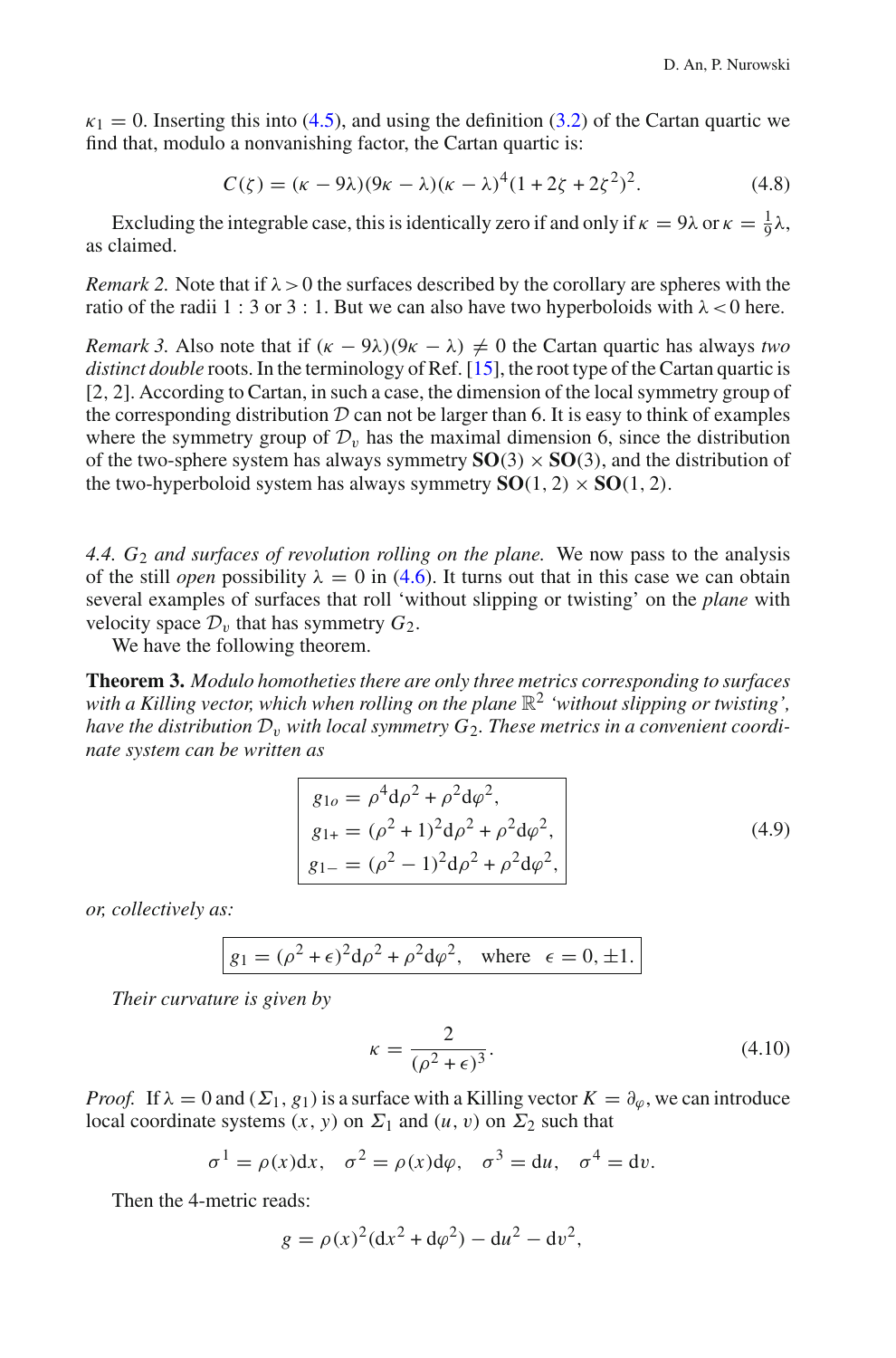$\kappa_1 = 0$ . Inserting this into [\(4.5\)](#page-15-0), and using the definition [\(3.2\)](#page-9-0) of the Cartan quartic we find that, modulo a nonvanishing factor, the Cartan quartic is:

$$
C(\zeta) = (\kappa - 9\lambda)(9\kappa - \lambda)(\kappa - \lambda)^4(1 + 2\zeta + 2\zeta^2)^2.
$$
 (4.8)

Excluding the integrable case, this is identically zero if and only if  $\kappa = 9\lambda$  or  $\kappa = \frac{1}{9}\lambda$ , as claimed.

*Remark 2.* Note that if  $\lambda > 0$  the surfaces described by the corollary are spheres with the ratio of the radii 1 : 3 or 3 : 1. But we can also have two hyperboloids with  $\lambda$  < 0 here.

*Remark 3.* Also note that if  $(\kappa - 9\lambda)(9\kappa - \lambda) \neq 0$  the Cartan quartic has always *two distinct double* roots. In the terminology of Ref. [\[15](#page-21-16)], the root type of the Cartan quartic is [2, 2]. According to Cartan, in such a case, the dimension of the local symmetry group of the corresponding distribution  $D$  can not be larger than 6. It is easy to think of examples where the symmetry group of  $\mathcal{D}_v$  has the maximal dimension 6, since the distribution of the two-sphere system has always symmetry  $SO(3) \times SO(3)$ , and the distribution of the two-hyperboloid system has always symmetry  $SO(1, 2) \times SO(1, 2)$ .

<span id="page-17-3"></span>*4.4. G*<sup>2</sup> *and surfaces of revolution rolling on the plane.* We now pass to the analysis of the still *open* possibility  $\lambda = 0$  in [\(4.6\)](#page-16-1). It turns out that in this case we can obtain several examples of surfaces that roll 'without slipping or twisting' on the *plane* with velocity space  $\mathcal{D}_v$  that has symmetry  $G_2$ .

<span id="page-17-2"></span>We have the following theorem.

**Theorem 3.** *Modulo homotheties there are only three metrics corresponding to surfaces* with a Killing vector, which when rolling on the plane  $\mathbb{R}^2$  *'without slipping or twisting'*, *have the distribution*  $\mathcal{D}_v$  *with local symmetry*  $G_2$ *. These metrics in a convenient coordinate system can be written as*

$$
g_{1o} = \rho^4 d\rho^2 + \rho^2 d\varphi^2,
$$
  
\n
$$
g_{1+} = (\rho^2 + 1)^2 d\rho^2 + \rho^2 d\varphi^2,
$$
  
\n
$$
g_{1-} = (\rho^2 - 1)^2 d\rho^2 + \rho^2 d\varphi^2,
$$
\n(4.9)

<span id="page-17-0"></span>*or, collectively as:*

<span id="page-17-1"></span>
$$
g_1 = (\rho^2 + \epsilon)^2 d\rho^2 + \rho^2 d\varphi^2, \text{ where } \epsilon = 0, \pm 1.
$$

*Their curvature is given by*

$$
\kappa = \frac{2}{(\rho^2 + \epsilon)^3}.\tag{4.10}
$$

*Proof.* If  $\lambda = 0$  and  $(\Sigma_1, g_1)$  is a surface with a Killing vector  $K = \partial_{\varphi}$ , we can introduce local coordinate systems  $(x, y)$  on  $\Sigma_1$  and  $(u, v)$  on  $\Sigma_2$  such that

$$
\sigma^1 = \rho(x)dx
$$
,  $\sigma^2 = \rho(x)d\varphi$ ,  $\sigma^3 = du$ ,  $\sigma^4 = dv$ .

Then the 4-metric reads:

$$
g = \rho(x)^2 (dx^2 + d\varphi^2) - du^2 - dv^2,
$$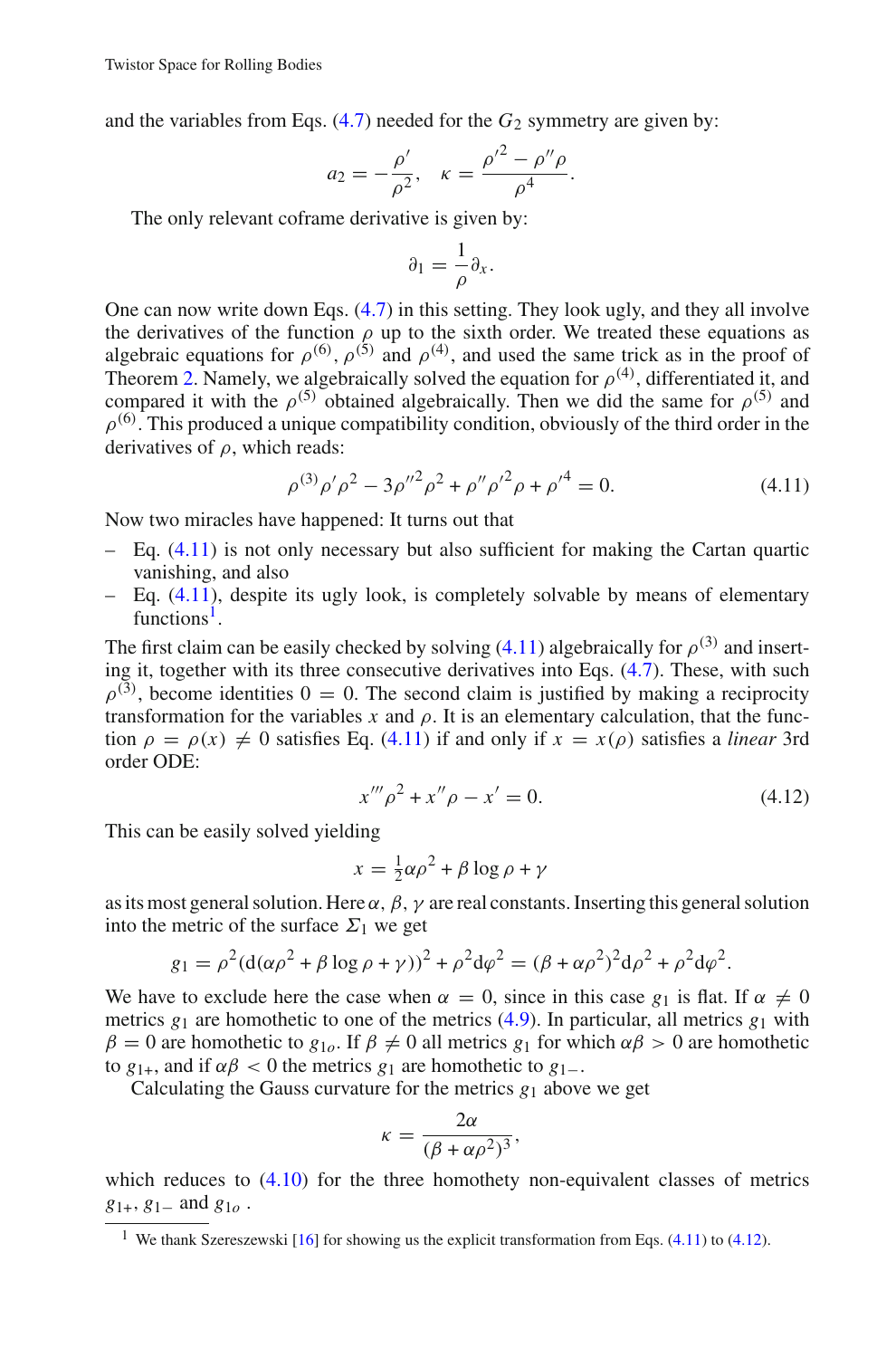and the variables from Eqs.  $(4.7)$  needed for the  $G_2$  symmetry are given by:

$$
a_2 = -\frac{\rho'}{\rho^2}, \quad \kappa = \frac{\rho'^2 - \rho'' \rho}{\rho^4}.
$$

The only relevant coframe derivative is given by:

$$
\partial_1 = \frac{1}{\rho} \partial_x.
$$

One can now write down Eqs.  $(4.7)$  in this setting. They look ugly, and they all involve the derivatives of the function  $\rho$  up to the sixth order. We treated these equations as algebraic equations for  $\rho^{(6)}$ ,  $\rho^{(5)}$  and  $\rho^{(4)}$ , and used the same trick as in the proof of Theorem [2.](#page-16-2) Namely, we algebraically solved the equation for  $\rho^{(4)}$ , differentiated it, and compared it with the  $\rho^{(5)}$  obtained algebraically. Then we did the same for  $\rho^{(5)}$  and  $\rho^{(6)}$ . This produced a unique compatibility condition, obviously of the third order in the derivatives of  $\rho$ , which reads:

$$
\rho^{(3)}\rho'\rho^2 - 3\rho''^2\rho^2 + {\rho''}\rho'^2\rho + {\rho'}^4 = 0.
$$
\n(4.11)

<span id="page-18-0"></span>Now two miracles have happened: It turns out that

- $-$  Eq.  $(4.11)$  is not only necessary but also sufficient for making the Cartan quartic vanishing, and also
- $-$  Eq. [\(4.11\)](#page-18-0), despite its ugly look, is completely solvable by means of elementary functions<sup>1</sup>

The first claim can be easily checked by solving [\(4.11\)](#page-18-0) algebraically for  $\rho^{(3)}$  and inserting it, together with its three consecutive derivatives into Eqs. [\(4.7\)](#page-16-0). These, with such  $\rho^{(3)}$ , become identities  $0 = 0$ . The second claim is justified by making a reciprocity transformation for the variables x and  $\rho$ . It is an elementary calculation, that the function  $\rho = \rho(x) \neq 0$  satisfies Eq. [\(4.11\)](#page-18-0) if and only if  $x = x(\rho)$  satisfies a *linear* 3rd order ODE:

$$
x'''\rho^2 + x''\rho - x' = 0. \tag{4.12}
$$

<span id="page-18-2"></span>This can be easily solved yielding

$$
x = \frac{1}{2}\alpha\rho^2 + \beta\log\rho + \gamma
$$

as its most general solution. Here  $\alpha$ ,  $\beta$ ,  $\gamma$  are real constants. Inserting this general solution into the metric of the surface  $\Sigma_1$  we get

$$
g_1 = \rho^2 (d(\alpha \rho^2 + \beta \log \rho + \gamma))^2 + \rho^2 d\varphi^2 = (\beta + \alpha \rho^2)^2 d\rho^2 + \rho^2 d\varphi^2.
$$

We have to exclude here the case when  $\alpha = 0$ , since in this case  $g_1$  is flat. If  $\alpha \neq 0$ metrics  $g_1$  are homothetic to one of the metrics [\(4.9\)](#page-17-0). In particular, all metrics  $g_1$  with  $β = 0$  are homothetic to  $g<sub>10</sub>$ . If  $β ≠ 0$  all metrics  $g<sub>1</sub>$  for which  $αβ > 0$  are homothetic to  $g_{1+}$ , and if  $\alpha\beta$  < 0 the metrics  $g_1$  are homothetic to  $g_{1-}$ .

Calculating the Gauss curvature for the metrics  $g_1$  above we get

$$
\kappa = \frac{2\alpha}{(\beta + \alpha \rho^2)^3},
$$

which reduces to  $(4.10)$  for the three homothety non-equivalent classes of metrics *g*1+, *g*1<sup>−</sup> and *g*1*<sup>o</sup>* .

<span id="page-18-1"></span><sup>&</sup>lt;sup>1</sup> We thank Szereszewski  $[16]$  $[16]$  for showing us the explicit transformation from Eqs. [\(4.11\)](#page-18-0) to [\(4.12\)](#page-18-2).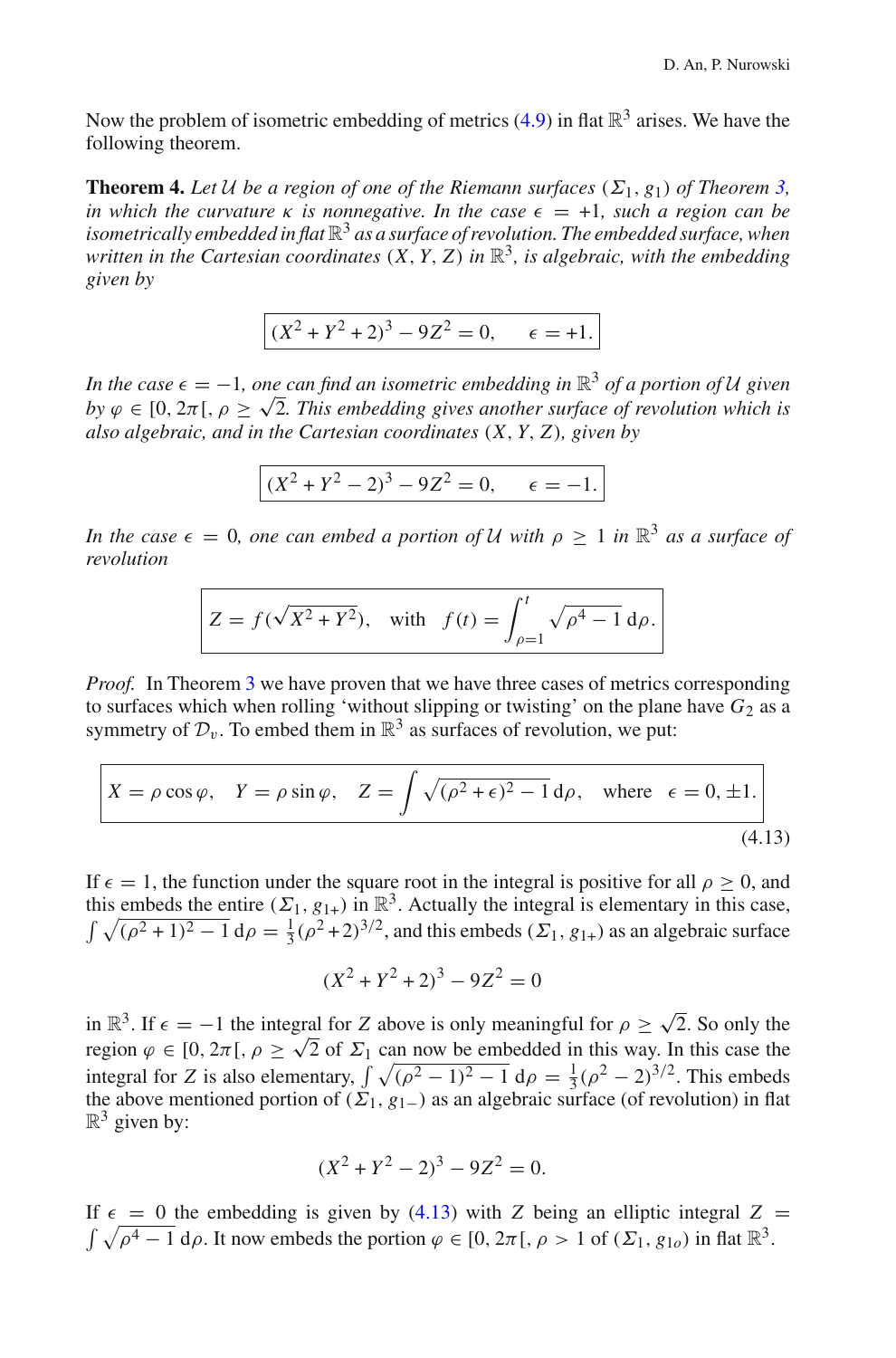<span id="page-19-1"></span>Now the problem of isometric embedding of metrics [\(4.9\)](#page-17-0) in flat  $\mathbb{R}^3$  arises. We have the following theorem.

**Theorem 4.** Let *U* be a region of one of the Riemann surfaces  $(\Sigma_1, g_1)$  of Theorem [3,](#page-17-2) *in which the curvature*  $\kappa$  *is nonnegative. In the case*  $\epsilon = +1$ *, such a region can be isometrically embedded in flat* R<sup>3</sup> *as a surface of revolution. The embedded surface, when written in the Cartesian coordinates* (*X*, *Y*, *Z*) *in* R3*, is algebraic, with the embedding given by*

$$
(X2 + Y2 + 2)3 - 9Z2 = 0, \quad \epsilon = +1.
$$

*In the case*  $\epsilon = -1$ *, one can find an isometric embedding in*  $\mathbb{R}^3$  *of a portion of U given by*  $\varphi \in [0, 2\pi], \rho \geq \sqrt{2}$ . This embedding gives another surface of revolution which is *also algebraic, and in the Cartesian coordinates* (*X*, *Y*, *Z*)*, given by*

$$
(X2 + Y2 - 2)3 - 9Z2 = 0, \quad \epsilon = -1.
$$

*In the case*  $\epsilon = 0$ *, one can embed a portion of U with*  $\rho \geq 1$  *in*  $\mathbb{R}^3$  *as a surface of revolution*

$$
Z = f(\sqrt{X^2 + Y^2}), \text{ with } f(t) = \int_{\rho=1}^t \sqrt{\rho^4 - 1} \, d\rho.
$$

*Proof.* In Theorem [3](#page-17-2) we have proven that we have three cases of metrics corresponding to surfaces which when rolling 'without slipping or twisting' on the plane have  $G_2$  as a symmetry of  $\mathcal{D}_v$ . To embed them in  $\mathbb{R}^3$  as surfaces of revolution, we put:

<span id="page-19-0"></span>
$$
X = \rho \cos \varphi, \quad Y = \rho \sin \varphi, \quad Z = \int \sqrt{(\rho^2 + \epsilon)^2 - 1} \, d\rho, \quad \text{where} \quad \epsilon = 0, \pm 1.
$$
\n(4.13)

If  $\epsilon = 1$ , the function under the square root in the integral is positive for all  $\rho \ge 0$ , and this embeds the entire  $(\Sigma_1, g_{1+})$  in  $\mathbb{R}^3$ . Actually the integral is elementary in this case,  $\int \sqrt{(\rho^2 + 1)^2 - 1} d\rho = \frac{1}{3} (\rho^2 + 2)^{3/2}$ , and this embeds  $(\Sigma_1, g_{1+})$  as an algebraic surface

$$
(X^2 + Y^2 + 2)^3 - 9Z^2 = 0
$$

in  $\mathbb{R}^3$ . If  $\epsilon = -1$  the integral for *Z* above is only meaningful for  $\rho \ge \sqrt{2}$ . So only the region  $\varphi \in [0, 2\pi], \rho \geq \sqrt{2}$  of  $\Sigma_1$  can now be embedded in this way. In this case the integral for *Z* is also elementary,  $\int \sqrt{(\rho^2 - 1)^2 - 1} \, d\rho = \frac{1}{3} (\rho^2 - 2)^{3/2}$ . This embeds the above mentioned portion of  $(\Sigma_1, g_{1-})$  as an algebraic surface (of revolution) in flat  $\mathbb{R}^3$  given by:

$$
(X^2 + Y^2 - 2)^3 - 9Z^2 = 0.
$$

If  $\epsilon = 0$  the embedding is given by [\(4.13\)](#page-19-0) with *Z* being an elliptic integral *Z* =  $\int \sqrt{\rho^4 - 1} d\rho$ . It now embeds the portion  $\varphi \in [0, 2\pi], \rho > 1$  of  $(\Sigma_1, g_{1\rho})$  in flat  $\mathbb{R}^3$ .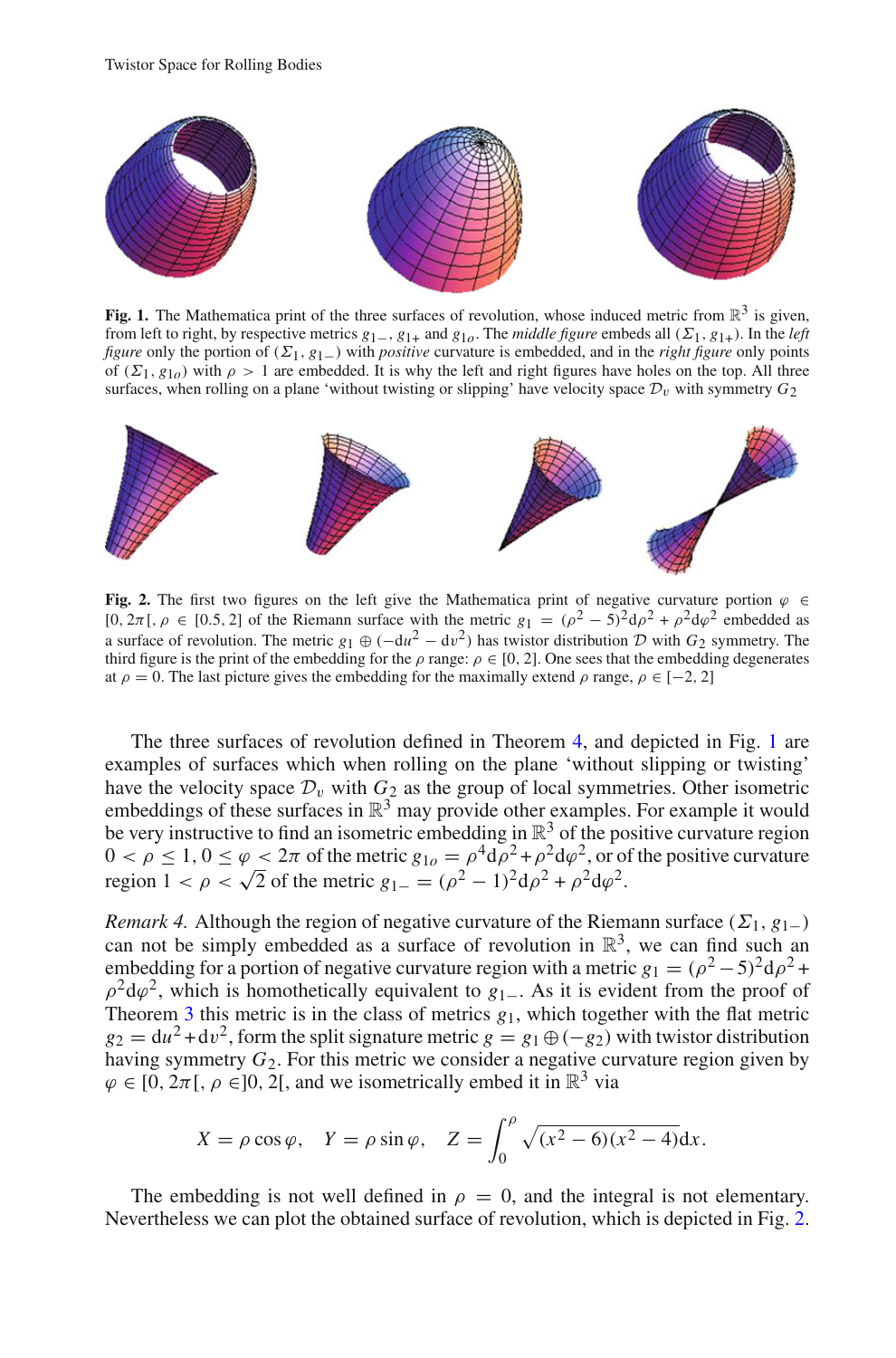

<span id="page-20-1"></span>**Fig. 1.** The Mathematica print of the three surfaces of revolution, whose induced metric from  $\mathbb{R}^3$  is given, from left to right, by respective metrics  $g_{1-}$ ,  $g_{1+}$  and  $g_{10}$ . The *middle figure* embeds all ( $\Sigma_1$ ,  $g_{1+}$ ). In the *left figure* only the portion of (Σ1, *g*1−) with *positive* curvature is embedded, and in the *right figure* only points of  $(\Sigma_1, g_{10})$  with  $\rho > 1$  are embedded. It is why the left and right figures have holes on the top. All three surfaces, when rolling on a plane 'without twisting or slipping' have velocity space  $\mathcal{D}_v$  with symmetry  $G_2$ 



<span id="page-20-0"></span>**Fig. 2.** The first two figures on the left give the Mathematica print of negative curvature portion  $\varphi \in$ [0,  $2\pi$ [,  $\rho \in [0.5, 2]$  of the Riemann surface with the metric  $g_1 = (\rho^2 - 5)^2 d\rho^2 + \rho^2 d\rho^2$  embedded as a surface of revolution. The metric  $g_1 \oplus (-du^2 - dv^2)$  has twistor distribution  $D$  with  $G_2$  symmetry. The third figure is the print of the embedding for the  $\rho$  range:  $\rho \in [0, 2]$ . One sees that the embedding degenerates at  $\rho = 0$ . The last picture gives the embedding for the maximally extend  $\rho$  range,  $\rho \in [-2, 2]$ 

The three surfaces of revolution defined in Theorem [4,](#page-19-1) and depicted in Fig. [1](#page-20-1) are examples of surfaces which when rolling on the plane 'without slipping or twisting' have the velocity space  $\mathcal{D}_v$  with  $G_2$  as the group of local symmetries. Other isometric embeddings of these surfaces in  $\mathbb{R}^3$  may provide other examples. For example it would be very instructive to find an isometric embedding in  $\mathbb{R}^3$  of the positive curvature region  $0 < \rho \le 1$ ,  $0 \le \varphi < 2\pi$  of the metric  $g_{1\rho} = \rho^4 d\rho^2 + \rho^2 d\varphi^2$ , or of the positive curvature region  $1 < \rho < \sqrt{2}$  of the metric  $g_{1-} = (\rho^2 - 1)^2 d\rho^2 + \rho^2 d\rho^2$ .

*Remark 4.* Although the region of negative curvature of the Riemann surface ( $\Sigma_1$ ,  $g_{1-}$ ) can not be simply embedded as a surface of revolution in  $\mathbb{R}^3$ , we can find such an embedding for a portion of negative curvature region with a metric  $g_1 = (\rho^2 - 5)^2 d\rho^2$ +  $\rho^2 d\varphi^2$ , which is homothetically equivalent to  $g_{1-}$ . As it is evident from the proof of Theorem [3](#page-17-2) this metric is in the class of metrics  $g_1$ , which together with the flat metric  $g_2 = du^2 + dv^2$ , form the split signature metric  $g = g_1 \oplus (-g_2)$  with twistor distribution having symmetry *G*2. For this metric we consider a negative curvature region given by  $\varphi \in [0, 2\pi], \rho \in ]0, 2[$ , and we isometrically embed it in  $\mathbb{R}^3$  via

$$
X = \rho \cos \varphi
$$
,  $Y = \rho \sin \varphi$ ,  $Z = \int_0^{\rho} \sqrt{(x^2 - 6)(x^2 - 4)} dx$ .

The embedding is not well defined in  $\rho = 0$ , and the integral is not elementary. Nevertheless we can plot the obtained surface of revolution, which is depicted in Fig. [2.](#page-20-0)